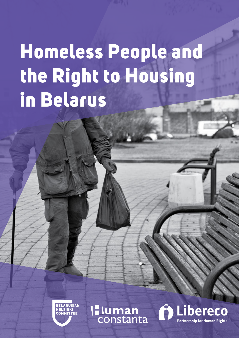# Homeless People and the Right to Housing in Belarus

**BELARUSIA COMMITTEE** 

Iluman

Libereco **Partnership for Human Rights**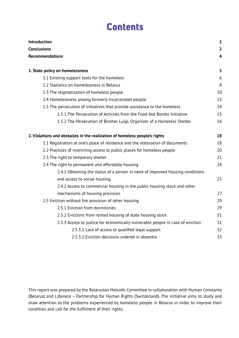#### Contents

| Introduction<br><b>Conclusions</b><br><b>Recommendations</b>                   | $\mathbf{1}$<br>$\overline{2}$<br>$\overline{4}$ |                                             |   |
|--------------------------------------------------------------------------------|--------------------------------------------------|---------------------------------------------|---|
|                                                                                |                                                  | 1. State policy on homelessness             | 5 |
|                                                                                |                                                  | 1.1 Existing support tools for the homeless | 6 |
| 1.2 Statistics on homelessness in Belarus                                      | 8                                                |                                             |   |
| 1.3 The stigmatization of homeless people                                      | 10                                               |                                             |   |
| 1.4 Homelessness among formerly incarcerated people                            | 13                                               |                                             |   |
| 1.5 The persecution of initiatives that provide assistance to the homeless     | 14                                               |                                             |   |
| 1.5.1 The Persecution of Activists from the Food Not Bombs Initiative          | 15                                               |                                             |   |
| 1.5.2 The Persecution of Brother Luigi, Organizer of a Homeless Shelter        | 16                                               |                                             |   |
| 2. Violations and obstacles in the realization of homeless people's rights     | 18                                               |                                             |   |
| 2.1 Registration at one's place of residence and the restoration of documents  | 18                                               |                                             |   |
| 2.2 Practices of restricting access to public places for homeless people       | 20                                               |                                             |   |
| 2.3 The right to temporary shelter                                             | 21                                               |                                             |   |
| 2.4 The right to permanent and affordable housing                              | 24                                               |                                             |   |
| 2.4.1 Obtaining the status of a person in need of improved housing conditions  |                                                  |                                             |   |
| and access to social housing                                                   | 25                                               |                                             |   |
| 2.4.2 Access to commercial housing in the public housing stock and other       |                                                  |                                             |   |
| mechanisms of housing provision                                                | 27                                               |                                             |   |
| 2.5 Eviction without the provision of other housing                            | 29                                               |                                             |   |
| 2.5.1 Eviction from dormitories                                                | 29                                               |                                             |   |
| 2.5.2 Evictions from rented housing of state housing stock                     | 31                                               |                                             |   |
| 2.5.3 Access to justice for economically vulnerable people in case of eviction | 31                                               |                                             |   |
| 2.5.3.1 Lack of access to qualified legal support                              | 32                                               |                                             |   |
| 2.5.3.2 Eviction decisions ordered in absentia                                 | 33                                               |                                             |   |

This report was prepared by the Belarusian Helsinki Committee in collaboration with Human Constanta (Belarus) and Libereco – Partnership for Human Rights (Switzerland). The initiative aims to study and draw attention to the problems experienced by homeless people in Belarus in order to improve their condition and call for the fulfilment of their rights.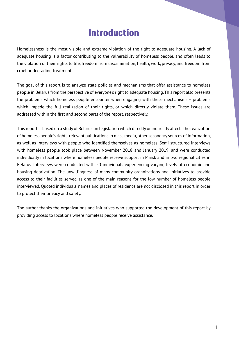#### Introduction

Homelessness is the most visible and extreme violation of the right to adequate housing. A lack of adequate housing is a factor contributing to the vulnerability of homeless people, and often leads to the violation of their rights to life, freedom from discrimination, health, work, privacy, and freedom from cruel or degrading treatment.

The goal of this report is to analyze state policies and mechanisms that offer assistance to homeless people in Belarus from the perspective of everyone's right to adequate housing. This report also presents the problems which homeless people encounter when engaging with these mechanisms – problems which impede the full realization of their rights, or which directly violate them. These issues are addressed within the first and second parts of the report, respectively.

This report is based on a study of Belarusian legislation which directly or indirectly affects the realization of homeless people's rights, relevant publications in mass media, other secondary sources of information, as well as interviews with people who identified themselves as homeless. Semi-structured interviews with homeless people took place between November 2018 and January 2019, and were conducted individually in locations where homeless people receive support in Minsk and in two regional cities in Belarus. Interviews were conducted with 20 individuals experiencing varying levels of economic and housing deprivation. The unwillingness of many community organizations and initiatives to provide access to their facilities served as one of the main reasons for the low number of homeless people interviewed. Quoted individuals' names and places of residence are not disclosed in this report in order to protect their privacy and safety.

The author thanks the organizations and initiatives who supported the development of this report by providing access to locations where homeless people receive assistance.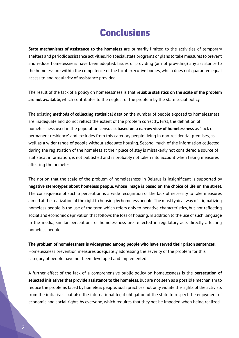#### Conclusions

**State mechanisms of assistance to the homeless** are primarily limited to the activities of temporary shelters and periodic assistance activities. No special state programs or plans to take measures to prevent and reduce homelessness have been adopted. Issues of providing (or not providing) any assistance to the homeless are within the competence of the local executive bodies, which does not guarantee equal access to and regularity of assistance provided.

The result of the lack of a policy on homelessness is that **reliable statistics on the scale of the problem are not available**, which contributes to the neglect of the problem by the state social policy.

The existing **methods of collecting statistical data** on the number of people exposed to homelessness are inadequate and do not reflect the extent of the problem correctly. First, the definition of homelessness used in the population census **is based on a narrow view of homelessness** as "lack of permanent residence" and excludes from this category people living in non-residential premises, as well as a wider range of people without adequate housing. Second, much of the information collected during the registration of the homeless at their place of stay is mistakenly not considered a source of statistical information, is not published and is probably not taken into account when taking measures affecting the homeless.

The notion that the scale of the problem of homelessness in Belarus is insignificant is supported by **negative stereotypes about homeless people, whose image is based on the choice of life on the street**. The consequence of such a perception is a wide recognition of the lack of necessity to take measures aimed at the realization of the right to housing by homeless people. The most typical way of stigmatizing homeless people is the use of the term which refers only to negative characteristics, but not reflecting social and economic deprivation that follows the loss of housing. In addition to the use of such language in the media, similar perceptions of homelessness are reflected in regulatory acts directly affecting homeless people.

#### **The problem of homelessness is widespread among people who have served their prison sentences**.

Homelessness prevention measures adequately addressing the severity of the problem for this category of people have not been developed and implemented.

A further effect of the lack of a comprehensive public policy on homelessness is the **persecution of selected initiatives that provide assistance to the homeless**, but are not seen as a possible mechanism to reduce the problems faced by homeless people. Such practices not only violate the rights of the activists from the initiatives, but also the international legal obligation of the state to respect the enjoyment of economic and social rights by everyone, which requires that they not be impeded when being realized.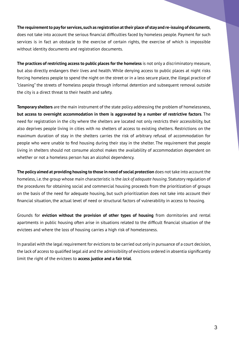**The requirement to pay for services, such as registration at their place of stay and re-issuing of documents**, does not take into account the serious financial difficulties faced by homeless people. Payment for such services is in fact an obstacle to the exercise of certain rights, the exercise of which is impossible without identity documents and registration documents.

**The practices of restricting access to public places for the homeless** is not only a discriminatory measure, but also directly endangers their lives and health. While denying access to public places at night risks forcing homeless people to spend the night on the street or in a less secure place, the illegal practice of "cleaning" the streets of homeless people through informal detention and subsequent removal outside the city is a direct threat to their health and safety.

**Temporary shelters** are the main instrument of the state policy addressing the problem of homelessness, **but access to overnight accommodation in them is aggravated by a number of restrictive factors**. The need for registration in the city where the shelters are located not only restricts their accessibility, but also deprives people living in cities with no shelters of access to existing shelters. Restrictions on the maximum duration of stay in the shelters carries the risk of arbitrary refusal of accommodation for people who were unable to find housing during their stay in the shelter. The requirement that people living in shelters should not consume alcohol makes the availability of accommodation dependent on whether or not a homeless person has an alcohol dependency.

**The policy aimed at providing housing to those in need of social protection** does not take into account the homeless, i.e. the group whose main characteristic is the *lack of adequate housing*. Statutory regulation of the procedures for obtaining social and commercial housing proceeds from the prioritization of groups on the basis of the need for adequate housing, but such prioritization does not take into account their financial situation, the actual level of need or structural factors of vulnerability in access to housing.

Grounds for **eviction without the provision of other types of housing** from dormitories and rental apartments in public housing often arise in situations related to the difficult financial situation of the evictees and where the loss of housing carries a high risk of homelessness.

In parallel with the legal requirement for evictions to be carried out only in pursuance of a court decision, the lack of access to qualified legal aid and the admissibility of evictions ordered in absentia significantly limit the right of the evictees to **access justice and a fair trial**.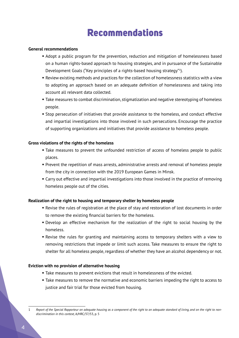#### Recommendations

#### **General recommendations**

- Adopt a public program for the prevention, reduction and mitigation of homelessness based on a human rights-based approach to housing strategies, and in pursuance of the Sustainable Development Goals ("Key principles of a rights-based housing strategy"<sup>1</sup> ).
- Review existing methods and practices for the collection of homelessness statistics with a view to adopting an approach based on an adequate definition of homelessness and taking into account all relevant data collected.
- **Take measures to combat discrimination, stigmatization and negative stereotyping of homeless** people.
- **Stop persecution of initiatives that provide assistance to the homeless, and conduct effective** and impartial investigations into those involved in such persecutions. Encourage the practice of supporting organizations and initiatives that provide assistance to homeless people.

#### **Gross violations of the rights of the homeless**

- **Take measures to prevent the unfounded restriction of access of homeless people to public** places.
- **Prevent the repetition of mass arrests, administrative arrests and removal of homeless people** from the city in connection with the 2019 European Games in Minsk.
- Carry out effective and impartial investigations into those involved in the practice of removing homeless people out of the cities.

#### **Realization of the right to housing and temporary shelter by homeless people**

- Revise the rules of registration at the place of stay and restoration of lost documents in order to remove the existing financial barriers for the homeless.
- Develop an effective mechanism for the realization of the right to social housing by the homeless.
- Revise the rules for granting and maintaining access to temporary shelters with a view to removing restrictions that impede or limit such access. Take measures to ensure the right to shelter for all homeless people, regardless of whether they have an alcohol dependency or not.

#### **Eviction with no provision of alternative housing**

- Take measures to prevent evictions that result in homelessness of the evicted.
- Take measures to remove the normative and economic barriers impeding the right to access to justice and fair trial for those evicted from housing.

<sup>1</sup> *Report of the Special Rapporteur on adequate housing as a component of the right to an adequate standard of living, and on the right to nondiscrimination in this context,* A/HRC/37/53, p. 5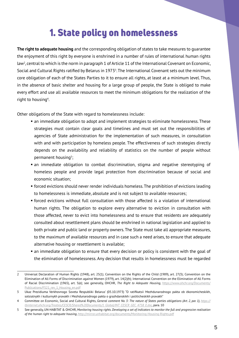### 1. State policy on homelessness

**The right to adequate housing** and the corresponding obligation of states to take measures to guarantee the enjoyment of this right by everyone is enshrined in a number of rules of international human rights law2 , central to which is the norm in paragraph 1 of Article 11 of the International Covenant on Economic, Social and Cultural Rights ratified by Belarus in 1973<sup>3</sup>. The International Covenant sets out the minimum core obligation of each of the States Parties to it to ensure all rights, at least at a minimum level. Thus, in the absence of basic shelter and housing for a large group of people, the State is obliged to make every effort and use all available resources to meet the minimum obligations for the realization of the right to housing<sup>4</sup>.

Other obligations of the State with regard to homelessness include:

- an immediate obligation to adopt and implement strategies to eliminate homelessness. These strategies must contain clear goals and timelines and must set out the responsibilities of agencies of State administration for the implementation of such measures, in consultation with and with participation by homeless people. The effectiveness of such strategies directly depends on the availability and reliability of statistics on the number of people without permanent housing<sup>5</sup>;
- an immediate obligation to combat discrimination, stigma and negative stereotyping of homeless people and provide legal protection from discrimination because of social and economic situation;
- forced evictions should never render individuals homeless. The prohibition of evictions leading to homelessness is immediate, absolute and is not subject to available resources;
- forced evictions without full consultation with those affected is a violation of international human rights. The obligation to explore every alternative to eviction in consultation with those affected, never to evict into homelessness and to ensure that residents are adequately consulted about resettlement plans should be enshrined in national legislation and applied to both private and public land or property owners. The State must take all appropriate measures, to the maximum of available resources and in case such a need arises, to ensure that adequate alternative housing or resettlement is available;
- an immediate obligation to ensure that every decision or policy is consistent with the goal of the elimination of homelessness. Any decision that results in homelessness must be regarded

<sup>2</sup> Universal Declaration of Human Rights (1948), art. 25(1); Convention on the Rights of the Child (1989), art. 27(3); Convention on the Elimination of All Forms of Discrimination against Women (1979), art. 14(2)(h); International Convention on the Elimination of All Forms of Racial Discrimination (1965), art. 5(е); see generally, OHCHR, *The Right to Adequate Housing*, https://www.ohchr.org/Documents/ Publications/FS21\_rev\_1\_Housing\_en.pdf

<sup>3</sup> Ukaz Prezidiuma Verkhovnogo Soveta Respubliki Belarus' (05.10.1973) "O ratifikatsii Mezhdunarodnogo pakta ob ėkonomicheskikh, sotsialnykh i kulturnykh pravakh i Mezhdunarodnogo pakta o grazhdanskikh i politicheskikh pravakh"

<sup>4</sup> Committee on Economic, Social and Cultural Rights, *General comment No. 3: The nature of States parties obligations (Art. 2, par. 1), https:// tbinternet.ohchr.org/Treaties/CESCR/Shared%20Documents/1\_Global/INT\_CESCR\_GEC\_4758\_E.doc,* para. 10

<sup>5</sup> See generally, UN-HABITAT & OHCHR, *Monitoring housing rights. Developing a set of indicators to monitor the full and progressive realisation of the human right to adequate housing*, http://mirror.unhabitat.org/documents/Monitoring-Housing-Rights.pdf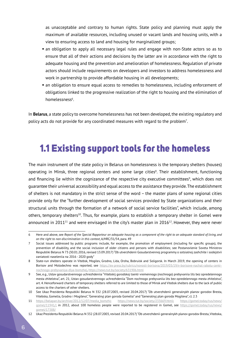as unacceptable and contrary to human rights. State policy and planning must apply the maximum of available resources, including unused or vacant lands and housing units, with a view to ensuring access to land and housing for marginalized groups;

- an obligation to apply all necessary legal rules and engage with non-State actors so as to ensure that all of their actions and decisions by the latter are in accordance with the right to adequate housing and the prevention and amelioration of homelessness. Regulation of private actors should include requirements on developers and investors to address homelessness and work in partnership to provide affordable housing in all developments;
- an obligation to ensure equal access to remedies to homelessness, including enforcement of obligations linked to the progressive realization of the right to housing and the elimination of homelessness<sup>6</sup>.

In **Belarus**, a state policy to overcome homelessness has not been developed, the existing regulatory and policy acts do not provide for any coordinated measures with regard to the problem<sup>7</sup>.

### 1.1 Existing support tools for the homeless

The main instrument of the state policy in Belarus on homelessness is the temporary shelters (houses) operating in Minsk, three regional centers and some large cities<sup>8</sup>. Their establishment, functioning and financing lie within the cognizance of the respective city executive committees<sup>9</sup>, which does not guarantee their universal accessibility and equal access to the assistance they provide. The establishment of shelters is not mandatory in the strict sense of the word – the master plans of some regional cities provide only for the "further development of social services provided by State organizations and their structural units through the formation of a network of social service facilities", which include, among others, temporary shelters<sup>10</sup>. Thus, for example, plans to establish a temporary shelter in Gomel were announced in 2011<sup>11</sup> and were envisaged in the city's master plan in 2016<sup>12</sup>. However, they were never

<sup>6</sup> Here and above, see *Report of the Special Rapporteur on adequate housing as a component of the right to an adequate standard of living, and on the right to non-discrimination in this context*, A/HRC/31/54, para. 49

<sup>7</sup> Social issues addressed by public programs include, for example, the promotion of employment (including for specific groups), the prevention of disability, and the social inclusion of older citizens and persons with disabilities; see Postanovlenie Soveta Ministrov Respubliki Belarus N 73 (30.01.2016, revised 13.09.2017) "Ob utverzhdenii Gosudarstvennoj programmy o sotsialnoj zashchite i sodejstvii zaniatosti naseleniia na 2016 - 2020 gody"

<sup>8</sup> State-run shelters operate in Vitebsk, Mogilev, Grodno, Lida, Orsha, Bobruisk and Soligorsk. In March 2019, the opening of centers in Borisov and Molodechno was reported, see https://ex-press.by/rubrics/novosti-borisova/2019/03/19/v-borisove-nachal-rabotu-centrnochnogo-prebyvaniya-dlya-bomzhej, https://news.tut.by/society/631906.html

<sup>9</sup> See, e.g., Ustav gosudarstvennogo uchrezhdeniia "Vitebskij gorodskoj tsentr vremennogo (nochnogo) prebyvaniia lits bez opredelennogo mesta zhitelstva", art. 21; Ustav gosudarstvennogo uchrezhdeniia "Dom nochnogo prebyvaniia lits bez opredelennogo mesta zhitelstva", art. 4. Henceforward charters of temporary shelters referred to are limited to those of Minsk and Vitebsk shelters due to the lack of public access to the charters of other shelters.

<sup>10</sup> See Ukaz Prezidenta Respubliki Belarus N 332 (28.07.2003, revised 20.04.2017) "Ob utverzhdenii generalnykh planov gorodov Bresta, Vitebska, Gomelia, Grodno i Mogileva", "Generalnyj plan goroda Gomelia" and "Generalnyj plan goroda Mogileva", cl. 2.3

<sup>11</sup> https://belapan.by/archive/2012/12/07/media\_bomzhi; https://news.tut.by/society/233669.html; https://gomel.today/rus/news/ gomel/11941/; in 2012, about 100 homeless people were reported to be reqistered in Gomel, see https://gomel.today/rus/news/ gomel/17388/

<sup>12</sup> Ukaz Prezidenta Respubliki Belarus N 332 (28.07.2003, revised 20.04.2017) "Ob utverzhdenii generalnykh planov gorodov Bresta, Vitebska,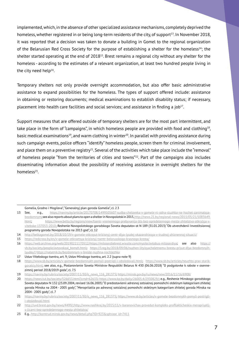implemented, which, in the absence of other specialized assistance mechanisms, completely deprived the homeless, whether registered in or being long-term residents of the city, of support<sup>13</sup>. In November 2018, it was reported that a decision was taken to donate a building in Gomel to the regional organization of the Belarusian Red Cross Society for the purpose of establishing a shelter for the homeless<sup>14</sup>; the shelter started operating at the end of 201815. Brest remains a regional city without any shelter for the homeless - according to the estimates of a relevant organization, at least two hundred people living in the city need help<sup>16</sup>.

Temporary shelters not only provide overnight accommodation, but also offer basic administrative assistance to expand possibilities for the homeless. The types of support offered include: assistance in obtaining or restoring documents; medical examinations to establish disability status; if necessary, placement into health care facilities and social services; and assistance in finding a  $job^{17}$ .

Support measures that are offered outside of temporary shelters are for the most part intermittent, and take place in the form of "campaigns", in which homeless people are provided with food and clothing18, basic medical examinations<sup>19</sup>, and warm clothing in winter<sup>20</sup>. In parallel with providing assistance during such campaign events, police officers "identify" homeless people, screen them for criminal involvement, and place them on a preventive registry<sup>21</sup>. Several of the activities which take place include the "removal" of homeless people "from the territories of cities and towns"22. Part of the campaigns also includes disseminating information about the possibility of receiving assistance in overnight shelters for the homeless<sup>23</sup>.

Gomelia, Grodno i Mogileva", "Generalnyj plan goroda Gomelia", cl. 2.3

<sup>13</sup> See, e.g., https://naviny.by/article/20170708/1499505607-sudba-cheloveka-v-gomele-ni-odna-sluzhba-ne-hochet-zanimatsyabezdomnym; see also reports about plans to open a shelter in Novopolotsk in 2015, http://news.21.by/regional-news/2015/05/21/1083649. html; https://www.belta.by/regions/view/tsentr-vremennogo-preby»anija-lits-bez-opredelennogo-mesta-zhitelstva-otkrylsja-vvitebske-137053-2010; Reshenie Novopolotskogo gorodskogo Soveta deputatov ot N 189 (31.01.2013) "Ob utverzhdenii Investitsionnoj programmy goroda Novopolotska na 2013 god", cl. 12

<sup>14</sup> http://belkagomel.by/2018/10/19/v-gomele-otkroyut-krizisnyj-centr-dlya-lyudej-okazavshixsya-v-trudnoj-zhiznennoj-situacii/

<sup>15</sup> https://redcross.by/en/v-gomele-otkroetsya-krizisnyj-tsentr-belorusskogo-krasnogo-kresta/

<sup>16</sup> https://web.archive.org/web/20190221170512/https://miloserdiebrest.wixsite.com/mysite/avtobus-miloserdiya; see also https:// vb.by/society/people/avtovokzal\_bomzh.html; https://1reg.by/2018/09/06/nuzhen-lityisyacheletnemu-brestu-priyut-dlya-bezdomnyihlyudey/; https://natatnik.by/bezdomnym-v-breste-nuzhna-nochlezhka

<sup>17</sup> Ustav Vitebskogo tsentra, art. 9; Ustav Minskogo tsentra, art. 2.2 (supra note 9)

<sup>18</sup> https://www.sb.by/articles/v-gomele-bezdomnykh-pomyli-postrigli-i-obsledovali.html; https://www.sb.by/articles/neuzhto-prav-starikgoratsiy.html; see also, e.g., Postanovlenie Soveta Ministrov Respubliki Belarus N 430 (06.06.2018) "O podgotovke k rabote v osennezimnij period 2018/2019 goda", cl. 7.5

<sup>19</sup> https://naviny.by/rubrics/society/2007/11/30/ic\_news\_116\_281375; https://minsk.gov.by/ru/news/new/2016/11/16/6908/

<sup>20</sup> https://news.tut.by/society/526653.html?crnd=62633; https://www.kp.by/daily/26005.4/2930829/; e.g., Reshenie Minskogo gorodskogo Soveta deputatov N 132 (23.09.2004, revised 16.06.2005) "O predostavlenii adresnoj sotsialnoj pomoshchi otdelnym kategoriiam zhitelej goroda Minska na 2004 - 2005 gody","Meropriiatiia po adresnoj sotsialnoj pomoshchi otdelnym kategoriiam zhitelej goroda Minska na 2004 - 2005 gody", cl. 7

<sup>21</sup> https://naviny.by/rubrics/society/2007/11/30/ic\_news\_116\_281375; https://www.sb.by/articles/v-gomele-bezdomnykh-pomyli-postriglii-obsledovali.html

<sup>22</sup> http://uvd.brest.gov.by/news/4499/; http://www.nashkraj.by/2015/11/v-baranovichax-provedut-kompleks-profilakticheskix-meropriyatijs-licami-bez-opredelennogo-mesta-zhitelstva/

<sup>23</sup> E.g., http://komtrud.minsk.gov.by/news/detail.php?ID=923&sphrase\_id=7411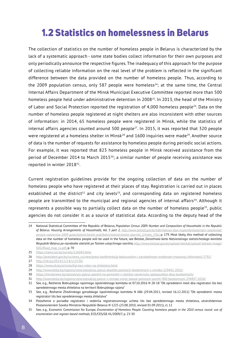### 1.2 Statistics on homelessness in Belarus

The collection of statistics on the number of homeless people in Belarus is characterized by the lack of a systematic approach - some state bodies collect information for their own purposes and only periodically announce the respective figures. The inadequacy of this approach for the purpose of collecting reliable information on the real level of the problem is reflected in the significant difference between the data provided on the number of homeless people. Thus, according to the 2009 population census, only 587 people were homeless<sup>24</sup>; at the same time, the Central Internal Affairs Department of the Minsk Municipal Executive Committee reported more than 500 homeless people held under administrative detention in 200825. In 2013, the head of the Ministry of Labor and Social Protection reported the registration of 4,000 homeless people26. Data on the number of homeless people registered at night shelters are also inconsistent with other sources of information: in 2014, 65 homeless people were registered in Minsk, while the statistics of internal affairs agencies counted around 500 people<sup>27</sup>. In 2015, it was reported that 320 people were registered at a homeless shelter in Minsk<sup>28</sup> and 1600 inquiries were made<sup>29</sup>. Another source of data is the number of requests for assistance by homeless people during periodic social actions. For example, it was reported that 823 homeless people in Minsk received assistance from the period of December 2014 to March 2015<sup>30</sup>; a similar number of people receiving assistance was reported in winter 201831.

Current registration guidelines provide for the ongoing collection of data on the number of homeless people who have registered at their places of stay. Registration is carried out in places established at the district<sup>32</sup> and city levels<sup>33</sup>, and corresponding data on registered homeless people are transmitted to the municipal and regional agencies of internal affairs<sup>34</sup>. Although it represents a possible way to partially collect data on the number of homeless people<sup>35</sup>, public agencies do not consider it as a source of statistical data. According to the deputy head of the

<sup>24</sup> National Statistical Committee of the Republic of Belarus*, Population Census 2009. Number and Composition of Households in the Republic of Belarus. Housing Arrangements of Households, Vol. 5 part 2, http://www.belstat.gov.by/informatsiya-dlya-respondenta/perepis-naseleniya/ perepis-naseleniya-2009-goda/statisticheskie-publikatsii/statisticheskie-sborniki\_2/index\_536/*, p. 179. Most likely, this method of collecting data on the number of homeless people will be used in the future, see Belstat, *Dorozhnaia karta Natsionalnogo statisticheskogo komiteta*  Respubliki Belarus po razrabotke statistiki po Tseliam ustojchivogo razvitiia, http://www.belstat.gov.by/upload-belstat/upload-belstat-image/ SDG/Road\_map\_ru.pdf, p. 70

<sup>25</sup> https://news.tut.by/society/126043.html

<sup>26</sup> http://president.gov.by/ru/news\_ru/view/press-konferentsija-belorusskim-i-zarubezhnym-sredstvam-massovoj-informatsii-5791/

<sup>27</sup> http://mk.by/2014/11/14/113530/

<sup>28</sup> https://www.sb.by/articles/byt-bez-vidov-na-zhitelstvo.html

<sup>29</sup> http://www.belta.by/regions/view/sotsialnyj-patrul-okazhet-pomosch-bezdomnym-v-minske-219441-2016/

<sup>30</sup> https://minsknews.by/sotsialnyiy-patrul-speshit-na-pomoshh-v-stolitse-razvernulis-spetspunktyi-dlya-bezdomnyih/

<sup>31</sup> http://www.belta.by/regions/view/sotsialnyj-patrul-v-minske-zimoj-okazal-pomosch-pochti-900-bezdomnym-294897-2018/

<sup>32</sup> See, e.g., Reshenie Bobrujskogo rajonnogo ispolnitelnogo komiteta ot 07.10.2016 N 28-18 "Ob opredelenii mest dlia registratsii lits bez opredelennogo mesta zhitelstva na territorii Bobrujskogo rajona"

<sup>33</sup> See, e.g., Reshenie Zhodinskogo gorodskogo ispolnitelnogo komiteta N 686 (29.04.2011, revised 16.12.2011) "Ob opredelenii mesta registratsii lits bez opredelennogo mesta zhitelstva"

<sup>34</sup> Polozhenie o poriadke registratsii i vedeniia registratsionnogo ucheta lits bez opredelennogo mesta zhitelstva, utverzhdennoe Postanovleniem Soveta Ministrov Respubliki Belarus N 1225 (23.08.2010, revised 01.09.2011), cl. 12

<sup>35</sup> See, e.g., Economic Commission for Europe, *Enumeration of Homeless People. Counting homeless people in the 2010 census round: use of enumeration and register-based methods*, ECE/CES/GE.41/2009/7, p. 23-30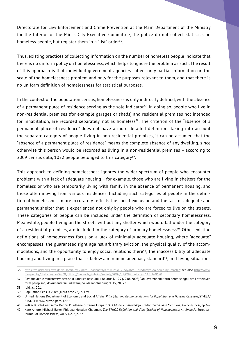Directorate for Law Enforcement and Crime Prevention at the Main Department of the Ministry for the Interior of the Minsk City Executive Committee, the police do not collect statistics on homeless people, but register them in a "list" order<sup>36</sup>.

Thus, existing practices of collecting information on the number of homeless people indicate that there is no uniform policy on homelessness, which helps to ignore the problem as such. The result of this approach is that individual government agencies collect only partial information on the scale of the homelessness problem and only for the purposes relevant to them, and that there is no uniform definition of homelessness for statistical purposes.

In the context of the population census, homelessness is only indirectly defined, with the absence of a permanent place of residence serving as the sole indicator $37$ . In doing so, people who live in non-residential premises (for example garages or sheds) and residential premises not intended for inhabitation, are recorded separately, not as homeless<sup>38</sup>. The criterion of the "absence of a permanent place of residence" does not have a more detailed definition. Taking into account the separate category of people living in non-residential premises, it can be assumed that the "absence of a permanent place of residence" means the complete absence of any dwelling, since otherwise this person would be recorded as living in a non-residential premises – according to 2009 census data,  $1022$  people belonged to this category<sup>39</sup>.

This approach to defining homelessness ignores the wider spectrum of people who encounter problems with a lack of adequate housing – for example, those who are living in shelters for the homeless or who are temporarily living with family in the absence of permanent housing, and those often moving from various residences. Including such categories of people in the definition of homelessness more accurately reflects the social exclusion and the lack of adequate and permanent shelter that is experienced not only by people who are forced to live on the streets. These categories of people can be included under the definition of secondary homelessness. Meanwhile, people living on the streets without any shelter which would fall under the category of a residential premises, are included in the category of primary homelessness<sup>40</sup>. Other existing definitions of homelessness focus on a lack of minimally adequate housing, where "adequate" encompasses: the guaranteed right against arbitrary eviction, the physical quality of the accommodations, and the opportunity to enjoy social relations there<sup>41</sup>; the inaccessibility of adequate housing and living in a place that is below a minimum adequacy standard<sup>42</sup>; and living situations

<sup>36</sup> https://minsknews.by/aktsiya-sotsialnyiy-patrul-nachnetsya-v-minske-v-noyabre-i-prodlitsya-do-seredinyi-marta/; see also http://www. mogved.by/obshchestvo/4870; https://naviny.by/rubrics/society/2009/01/09/ic\_articles\_116\_160670

<sup>37</sup> Postanovlenie Ministerstva statistiki i analiza Respubliki Belarus N 129 (29.08.2008) "Ob utverzhdenii form perepisnogo lista i otdelnykh form perepisnoj dokumentatsii i ukazanij po ikh zapolneniiu", cl. 15, 28, 39

<sup>38</sup> Ibid., cl. 20.1

<sup>39</sup> Population Census 2009 (supra note 24), p. 179

<sup>40</sup> United Nations Department of Economic and Social Affairs, *Principles and Recommendations for Population and Housing Censuses*, ST/ESA/ STAT/SER.M/67/Rev.2, para. 1.452

<sup>41</sup> Volker Busch-Geertsema,Dennis P Culhane, Suzanne Fitzpatrick,*A Global Framework for Understanding and Measuring Homelessness*,pp.6-7

<sup>42</sup> Kate Amore, Michael Baker, Philippa Howden-Chapman, *The ETHOS Definition and Classification of Homelessness: An Analysis*, European Journal of Homelessness, Vol. 5, No. 2, p. 32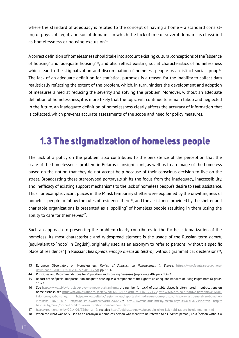where the standard of adequacy is related to the concept of having a home - a standard consisting of physical, legal, and social domains, in which the lack of one or several domains is classified as homelessness or housing exclusion<sup>43</sup>.

Acorrect definition of homelessness should take into account existing cultural conceptions ofthe"absence of housing" and "adequate housing"44, and also reflect existing social characteristics of homelessness which lead to the stigmatization and discrimination of homeless people as a distinct social group<sup>45</sup>. The lack of an adequate definition for statistical purposes is a reason for the inability to collect data realistically reflecting the extent of the problem, which, in turn, hinders the development and adoption of measures aimed at reducing the severity and solving the problem. Moreover, without an adequate definition of homelessness, it is more likely that the topic will continue to remain taboo and neglected in the future. An inadequate definition of homelessness clearly affects the accuracy of information that is collected, which prevents accurate assessments of the scope and need for policy measures.

### 1.3 The stigmatization of homeless people

The lack of a policy on the problem also contributes to the persistence of the perception that the scale of the homelessness problem in Belarus is insignificant, as well as to an image of the homeless based on the notion that they do not accept help because of their conscious decision to live on the street. Broadcasting these stereotyped portrayals shifts the focus from the inadequacy, inaccessibility, and inefficacy of existing support mechanisms to the lack of homeless people's desire to seek assistance. Thus, for example, vacant places in the Minsk temporary shelter were explained by the unwillingness of homeless people to follow the rules of residence there<sup>46</sup>, and the assistance provided by the shelter and charitable organizations is presented as a "spoiling" of homeless people resulting in them losing the ability to care for themselves<sup>47</sup>.

Such an approach to presenting the problem clearly contributes to the further stigmatization of the homeless. Its most characteristic and widespread element is the usage of the Russian term *bomzh*, [equivalent to "hobo" in English], originally used as an acronym to refer to persons "without a specific place of residence" [in Russian: *bez opredelennogo mesta zhitelstva*], without grammatical declensions48,

<sup>43</sup> European Observatory on Homelessness, Review of Statistics on Homelessness in Europe, https://www.feantsaresearch.org/ download/6-20098376003316223505933.pdf, pp. 15-16

<sup>44</sup> Principles and Recommendations for Population and Housing Censuses (supra note 40), para. 1.452

<sup>45</sup> Report of the Special Rapporteur on adequate housing as a component of the right to an adequate standard of living (supra note 6), paras. 15-27

<sup>46</sup> See https://www.sb.by/articles/pravo-na-novuyu-zhizn.html; the number (or lack) of available places is often noted in publications on homelessness, see https://naviny.by/rubrics/society/2011/01/21/ic\_articles\_116\_172153; http://kyky.org/pain/gordye-bezdomnye-lyudikak-horonyat-bomzhey; https://www.belta.by/regions/view/reportazh-ih-adres-ne-dom-prosto-ulitsa.-kak-ustroena-zhizn-bomzhejv-minske-61075-2014; http://belsmi.by/archive/article/66492; http://www.belarus-mtz.by/mesta-naydutsya-dlya-vseh.html; http:// belchas.by/news/gospodin-nikto-kak-naiti-rabotu-bezdomnomu.html

<sup>47</sup> https://realt.onliner.by/2014/01/23/bomzh-2; see also http://belchas.by/news/gospodin-nikto-kak-naiti-rabotu-bezdomnomu.html

<sup>48</sup> When the word was only used as an acronym, a homeless person was meant to be referred to as "*bomzh* person", i.e. a "person without a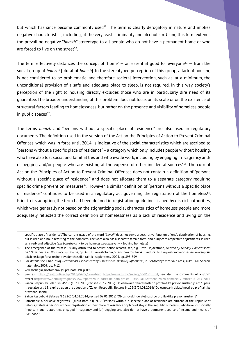but which has since become commonly used<sup>49</sup>. The term is clearly derogatory in nature and implies negative characteristics, including, at the very least, criminality and alcoholism. Using this term extends the prevailing negative "*bomzh"* stereotype to all people who do not have a permanent home or who are forced to live on the street $50$ .

The term effectively distances the concept of "home"  $-$  an essential good for everyone<sup>51</sup>  $-$  from the social group of *bomzhi* [plural of *bomzh*]. In the stereotyped perception of this group, a lack of housing is not considered to be problematic, and therefore societal intervention, such as, at a minimum, the unconditional provision of a safe and adequate place to sleep, is not required. In this way, society's perception of the right to housing directly excludes those who are in particularly dire need of its guarantee. The broader understanding of this problem does not focus on its scale or on the existence of structural factors leading to homelessness, but rather on the presence and visibility of homeless people in public spaces $52$ .

The terms *bomzh* and "persons without a specific place of residence" are also used in regulatory documents. The definition used in the version of the Act on the Principles of Action to Prevent Criminal Offences, which was in force until 2014, is indicative of the social characteristics which are ascribed to "persons without a specific place of residence"–a category which only includes people without housing, who have also lost social and familial ties and who evade work, including by engaging in "vagrancy and/ or begging and/or people who are existing at the expense of other incidental sources"<sup>53</sup>. The current Act on the Principles of Action to Prevent Criminal Offences does not contain a definition of "persons without a specific place of residence," and does not allocate them to a separate category requiring specific crime prevention measures<sup>54</sup>. However, a similar definition of "persons without a specific place of residence" continues to be used in a regulatory act governing the registration of the homeless<sup>55</sup>. Prior to its adoption, the term had been defined in registration guidelines issued by district authorities, which were generally not based on the stigmatizing social characteristics of homeless people and more adequately reflected the correct definition of homelessness as a lack of residence and living on the

specific place of residence". The current usage of the word "*bomzh*" does not serve a descriptive function of one's deprivation of housing, but is used as a noun referring to the homeless. The word also has a separate female form, and, subject to respective adjustments, is used as a verb and adjective (e.g. *bomzhevat' –* to be homeless, *bomzhevatiy –* looking homeless)

<sup>49</sup> The emergence of the term is usually attributed to Soviet police records, see, e.g., Tova Höjdestrand, *Needed by Nobody. Homelessness and Humanness in Post-Socialist Russia*, pp. 4-5; E. Vereshchagin, V. Kostomarov, IAzyk i kultura. Tri lingvostranovedcheskie kontseptsii: leksicheskogo fona, reche-povedencheskikh taktik i sapientemy, 2005, pp. 898-899

<sup>50</sup> For details see I. Karlinskij, *Bezdomnost i iazyk vrazhdy v sredstvakh massovoj informatsii*, in Bezdomnye v zerkale rossijskikh SMI, Sbornik materialov, 2009, pp. 9-12.

<sup>51</sup> Vereshchagin, Kostomarov (supra note 49), p. 899

<sup>52</sup> See, e.q., https://realt.onliner.by/2016/04/27/bomzhi-2; https://news.tut.by/society/559681.html; see also the comments of a GUVD officer https://www.belta.by/regions/view/reportazh-ih-adres-ne-dom-prosto-ulitsa.-kak-ustroena-zhizn-bomzhej-v-minske-61075-2014

<sup>53</sup> Zakon Respubliki Belarus N 453-Z (10.11.2008, revised 28.12.2009) "Ob osnovakh deiatelnosti po profilaktike pravonarushenij", art. 1, para. 4; see also art. 15; expired upon the adoption of Zakon Respubliki Belarus N 122-Z (04.01.2014)"Ob osnovakh deiatelnosti po profilaktike pravonarushenij"

<sup>54</sup> Zakon Respubliki Belarus N 122-Z (04.01.2014, revised 09.01.2018) "Ob osnovakh deiatelnosti po profilaktike pravonarushenij"

<sup>55</sup> Polozhenie o poriadke registratsii (supra note 34), cl. 2: "Persons without a specific place of residence are citizens of the Republic of Belarus, stateless persons without registration at their place of residence or place of stay in the Republic of Belarus, who have lost socially important and related ties, engaged in vagrancy and (or) begging, and also do not have a permanent source of income and means of livelihood."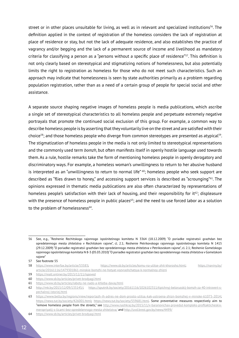street or in other places unsuitable for living, as well as in relevant and specialized institutions<sup>56</sup>. The definition applied in the context of registration of the homeless considers the lack of registration at place of residence or stay, but not the lack of adequate residence, and also establishes the practice of vagrancy and/or begging and the lack of a permanent source of income and livelihood as mandatory criteria for classifying a person as a "persons without a specific place of residence"57. This definition is not only clearly based on stereotypical and stigmatizing notions of homelessness, but also potentially limits the right to registration as homeless for those who do not meet such characteristics. Such an approach may indicate that homelessness is seen by state authorities primarily as a problem regarding population registration, rather than as a need of a certain group of people for special social and other assistance.

A separate source shaping negative images of homeless people is media publications, which ascribe a single set of stereotypical characteristics to all homeless people and perpetuate extremely negative portrayals that promote the continued social exclusion of this group. For example, a common way to describe homeless people is by asserting that they voluntarily live on the street and are satisfied with their choice<sup>58</sup>; and those homeless people who diverge from common stereotypes are presented as atypical<sup>59</sup>. The stigmatization of homeless people in the media is not only limited to stereotypical representations and the commonly used term *bomzh*, but often manifests itself in openly hostile language used towards them. As a rule, hostile remarks take the form of mentioning homeless people in openly derogatory and discriminatory ways. For example, a homeless woman's unwillingness to return to her abusive husband is interpreted as an "unwillingness to return to normal life" <sup>60</sup>; homeless people who seek support are described as "flies drawn to honey," and accessing support services is described as "scrounging"<sup>61</sup>. The opinions expressed in thematic media publications are also often characterized by representations of homeless people's satisfaction with their lack of housing, and their responsibility for it<sup>62</sup>; displeasure with the presence of homeless people in public places<sup>63</sup>; and the need to use forced labor as a solution to the problem of homelessness<sup>64</sup>.

<sup>56</sup> See, e.g., "Reshenie Rechitskogo rajonnogo ispolnitelnogo komiteta N 3364 (18.12.2009) "O poriadke registratsii grazhdan bez opredelennogo mesta zhitelstva v Rechitskom rajone", cl. 2.1; Reshenie Petrikovskogo rajonnogo ispolnitelnogo komiteta N 1415 (29.12.2009) "O poriadke registratsii grazhdan bez opredelennogo mesta zhitelstva v Petrikovskom rajone", cl. 2.1; Reshenie Gomelskogo rajonnogo ispolnitelnogo komiteta N 8-3 (05.03.2010)"O poriadke registratsii grazhdan bez opredelennogo mesta zhitelstva v Gomelskom rajone"

<sup>57</sup> See footnote 55

<sup>58</sup> https://www.interfax.by/article/53583; https://www.sb.by/articles/komu-na-ulitse-zhit-khorosho.html; https://naviny.by/ article/20161116/1479301861-minskie-bomzhi-ne-hotyat-vozvrashchatsya-k-normalnoy-zhizni

<sup>59</sup> https://realt.onliner.by/2013/12/11/ispoved

<sup>60</sup> https://www.sb.by/articles/privet-brodyagi.html

<sup>61</sup> https://www.sb.by/articles/raboty-ne-nado-a-khleba-davay.html

<sup>62</sup> http://mk.by/2015/12/09/135145/; https://sputnik.by/society/20161116/1026102311/tipichnyj-belorusskij-bomzh-za-40-introvert-spechalnoj-istoriej.html

<sup>63</sup> https://www.belta.by/regions/view/reportazh-ih-adres-ne-dom-prosto-ulitsa.-kak-ustroena-zhizn-bomzhej-v-minske-61075-2014; https://news.tut.by/society/426001.html; https://news.tut.by/society/559681.html. Some preventative measures respectively aim to "remove homeless people from the streets," see http://www.nashkraj.by/2015/11/v-baranovichax-provedut-kompleks-profilakticheskixmeropriyatij-s-licami-bez-opredelennogo-mesta-zhitelstva/ and http://uvd.brest.gov.by/news/4499/

<sup>64</sup> https://www.sb.by/articles/privet-brodyagi.html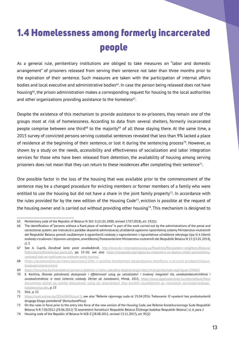# 1.4 Homelessness among formerly incarcerated people

As a general rule, penitentiary institutions are obliged to take measures on "labor and domestic arrangement" of prisoners released from serving their sentence not later than three months prior to the expiration of their sentence. Such measures are taken with the participation of internal affairs bodies and local executive and administrative bodies<sup>65</sup>. In case the person being released does not have housing<sup>66</sup>, the prison administration makes a corresponding request for housing to the local authorities and other organizations providing assistance to the homeless $67$ .

Despite the existence of this mechanism to provide assistance to ex-prisoners, they remain one of the groups most at risk of homelessness. According to data from several shelters, formerly incarcerated people comprise between one third<sup>68</sup> to the majority<sup>69</sup> of all those staying there. At the same time, a 2015 survey of convicted persons serving custodial sentences revealed that less than 9% lacked a place of residence at the beginning of their sentence, or lost it during the sentencing process<sup>70</sup>. However, as shown by a study on the needs, accessibility and effectiveness of socialization and labor integration services for those who have been released from detention, the availability of housing among serving prisoners does not mean that they can return to these residences after completing their sentence<sup>71</sup>.

One possible factor in the loss of the housing that was available prior to the commencement of the sentence may be a changed procedure for evicting members or former members of a family who were entitled to use the housing but did not have a share in the joint family property<sup>72</sup>. In accordance with the rules provided for by the new edition of the Housing Code<sup>73</sup>, eviction is possible at the request of the housing owner and is carried out without providing other housing<sup>74</sup>. This mechanism is designed to

<sup>65</sup> Penitentiary code of the Republic of Belarus N 365-З (11.01.2000, revised 17.07.2018), art. 192(1)

<sup>66</sup> The identification of "persons without a fixed place of residence" is part of the work carried out by the administrations of the penal and correctional system; see Instrukciâ o porâdke okazaniâ administraciej učreždeniâ ugolovno-ispolnitelnoj sistemy Ministerstva vnutrennih del Respubliki Belarus pomoŝi osuždennym k ograničeniû svobody s napravleniem v ispravitelnoe učreždenie otkrytogo tipa ili k lišeniû svobody v trudovom i bytovom ustrojstve, utverždennoj Postanovleniem Ministerstva vnutrennih del Respubliki Belarus N 15 (15.01.2014), cl. 5

<sup>67</sup> See A. Cuprik, *Dorožnaâ karta posle osvoboždeniâ*, http://www.dvv-international.org.ua/fileadmin/files/eastern-neighbors/Belarus/ Publications/Dorozhnaya karta.pdf, pp. 15-16; see also https://newgrodno.by/region/ya-chelovek-a-ne-skotina-zhitel-zelvenshhinyrasskazal-kak-on-vyzhivaet-na-svobode-posle-tyurmy/

<sup>68</sup> https://grodnonews.by/news/glavnoe/13281-v-grodno-bezdomnye-besplatnomu-komfortu-v-priyute-predpochitayutbrodyazhnichestvo.html

<sup>69</sup> https://novychas.by/hramadstva/vjarnucca-dadomu-ci-kamu-patrebny-besprytulnyja; http://mvd.gov.by/main.aspx?guid=294643

<sup>70</sup> E. Kechina, *Otsenka potrebnosti, dostupnosti i ėffektivnosti uslug po sotsializatsii i trudovoj integratsii lits, osvobozhdaiushchikhsia i osvobodivshikhsia iz mest lisheniia svobody. Otchet ob issledovanii*, Minsk, 2015, https://www.segelyszervezet.hu/sites/default/files/ documents/-otchet\_po\_ocenke\_dostupnosti\_uslug\_po\_resocializacii\_dlya\_byvshih\_osuzhdennyh\_po\_rezultatam\_sociologicheskogo\_ issledovaniya.doc, p. 15

<sup>71</sup> Ibid., p. 52

<sup>72</sup> https://realt.onliner.by/2014/04/04/sud-5; see also "Rešenie rajonnogo suda ot 25.04.2016. Trebovanie: O vyselenii bez predostavleniâ drugogo žilogo pomeŝeniâ" (KonsultantPlius)

<sup>73</sup> On the rules in force prior to the entry into force of the new version of the Housing Code, see Rešenie Konstitucionnogo Suda Respubliki Belarus N R-728/2012 (29.06.2012) "O sootvetstvii Konstitucii Respubliki Belarus Žiliŝnogo kodeksa Respubliki Belarus", cl. 6, para 2

<sup>74</sup> Housing code of the Republic of Belarus N 428-Z (28.08.2012, revised 13.11.2017), art. 95(2)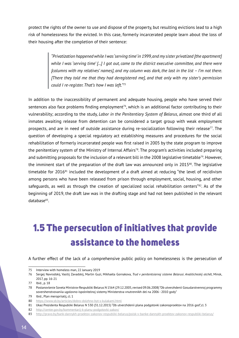protect the rights of the owner to use and dispose of the property, but resulting evictions lead to a high risk of homelessness for the evicted. In this case, formerly incarcerated people learn about the loss of their housing after the completion of their sentence:

> *"Privatization happened while I was 'serving time' in 1999, and my sister privatized [the apartment] while I was 'serving time' [...] I got out, came to the district executive committee, and there were [columns with my relatives' names], and my column was dark, the last in the list – I'm not there. [There they told me that they had deregistered me], and that only with my sister's permission could I re-register. That's how I was left."75*

In addition to the inaccessibility of permanent and adequate housing, people who have served their sentences also face problems finding employment<sup>76</sup>, which is an additional factor contributing to their vulnerability; according to the study, *Labor in the Penitentiary System of Belarus*, almost one third of all inmates awaiting release from detention can be considered a target group with weak employment prospects, and are in need of outside assistance during re-socialization following their release<sup>77</sup>. The question of developing a special regulatory act establishing measures and procedures for the social rehabilitation of formerly incarcerated people was first raised in 2005 by the state program to improve the penitentiary system of the Ministry of Internal Affairs<sup>78</sup>. The program's activities included preparing and submitting proposals for the inclusion of a relevant bill in the 2008 legislative timetable<sup>79</sup>. However, the imminent start of the preparation of the draft law was announced only in 2015<sup>80</sup>. The legislative timetable for 2016<sup>81</sup> included the development of a draft aimed at reducing "the level of recidivism among persons who have been released from prison through employment, social, housing, and other safeguards, as well as through the creation of specialized social rehabilitation centers"<sup>82</sup>. As of the beginning of 2019, the draft law was in the drafting stage and had not been published in the relevant database83.

# 1.5 The persecution of initiatives that provide assistance to the homeless

A further effect of the lack of a comprehensive public policy on homelessness is the persecution of

<sup>75</sup> Interview with homeless man, 22 January 2019

<sup>76</sup> Sergej Navrodskij, Vasilij Zavadskij, Martin Guzi, Mikhaėla Gornakova, *Trud v penitentsiarnoj sisteme Belarusi. Analiticheskij otchët*, Minsk, 2017, pp. 16-21

<sup>77</sup> Ibid., p. 18

<sup>78</sup> Postanovlenie Soveta Ministrov Respubliki Belarus N 1564 (29.12.2005, revised 09.06.2008) "Ob utverzhdenii Gosudarstvennoj programmy sovershenstvovaniia ugolovno-ispolnitelnoj sistemy Ministerstva vnutrennikh del na 2006 - 2010 gody"

<sup>79</sup> Ibid., Plan meropriiatij, cl. 1

<sup>80</sup> https://www.sb.by/articles/dobro-dolzhno-byt-s-kulakami.html

<sup>81</sup> Ukaz Prezidenta Respubliki Belarus N 530 (31.12.2015) "Ob utverzhdenii plana podgotovki zakonoproektov na 2016 god",cl. 3

<sup>82</sup> http://center.gov.by/kommentarij-k-planu-podgotovki-zakon/

<sup>83</sup> http://pravo.by/bank-dannykh-proektov-zakonov-respubliki-belarus/poisk-v-banke-dannykh-proektov-zakonov-respubliki-belarus/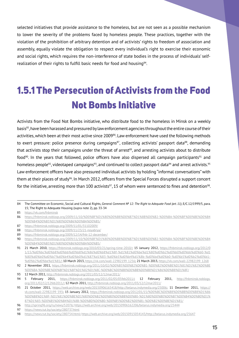selected initiatives that provide assistance to the homeless, but are not seen as a possible mechanism to lower the severity of the problems faced by homeless people. These practices, together with the violation of the prohibition of arbitrary detention and of activists' rights to freedom of association and assembly, equally violate the obligation to respect every individual's right to exercise their economic and social rights, which requires the non-interference of state bodies in the process of individuals' selfrealization of their rights to fulfill basic needs for food and housing<sup>84</sup>.

# 1.5.1 The Persecution of Activists from the Food Not Bombs Initiative

Activists from the Food Not Bombs initiative, who distribute food to the homeless in Minsk on a weekly basis<sup>85</sup>, have been harassed and pressured by law enforcement agencies throughout the entire course of their activities, which been at their most active since 2009<sup>86</sup>. Law enforcement have used the following methods to exert pressure: police presence during campaigns<sup>87</sup>, collecting activists' passport data<sup>88</sup>, demanding that activists stop their campaigns under the threat of arrest<sup>89</sup>, and arresting activists about to distribute food $90$ . In the years that followed, police officers have also dispersed all campaign participants $91$  and homeless people<sup>92</sup>, videotaped campaigns<sup>93</sup>, and continued to collect passport data<sup>94</sup> and arrest activists.<sup>95</sup> Law enforcement officers have also pressured individual activists by holding "informal conversations"with them at their places of study<sup>96</sup>. In March 2012, officers from the Special Forces disrupted a support concert for the initiative, arresting more than 100 activists<sup>97</sup>, 15 of whom were sentenced to fines and detention<sup>98</sup>.

<sup>84</sup> The Committee on Economic, Social and Cultural Rights, *General Comment № 12: The Right to Adequate Food (art. 11)*, E/C.12/1999/5, para. 15; The Right to Adequate Housing (supra note 2), pp. 33-34

<sup>85</sup> https://vk.com/fnbminsk

<sup>86</sup> https://fnbminsk.noblogs.org/2009/11/10/%D0%BF%D1%80%D0%B8%D0%B7%D1%8B%D0%B2-%D0%BA-%D0%BF%D0%BE%D0%B4 %D0%B4%D0%B5%D1%80%D0%B6%D0%BA%D0%B5/

<sup>87</sup> https://fnbminsk.noblogs.org/2009/11/01/31102009/

<sup>88</sup> https://fnbminsk.noblogs.org/2009/11/23/21-noyabrya/

<sup>89</sup> https://fnbminsk.noblogs.org/2009/12/14/fnb-12-december/

<sup>90</sup> https://fnbminsk.noblogs.org/2009/11/10/%D0%BF%D1%80%D0%B8%D0%B7%D1%8B%D0%B2-%D0%BA-%D0%BF%D0%BE%D0%B4 %D0%B4%D0%B5%D1%80%D0%B6%D0%BA%D0%B5/

<sup>91</sup> 21 March 2010, https://fnbminsk.noblogs.org/2010/03/21/spring-time-2010/; 15 January 2012, https://fnbminsk.noblogs.org/2012/0 1/15/%d0%bc%d0%b8%d0%bb%d0%b8%d1%86%d0%b8%d1%8f-%d1%81%d0%be%d1%80%d0%b2%d0%b0%d0%bb%d0%b0-%d1 %80%d0%b0%d0%b7%d0%b4%d0%b0%d1%87%d1%83-%d0%b5%d0%b4%d1%8b-%d0%bd%d0%b0-%d0%b5%d0%b2%d0%b1- %d0%b2%d0%be%d1%81/; 10 March 2013, https://vk.com/wall-22982199\_1256; 21 March 2013, https://vk.com/wall-22982199\_1268

<sup>92</sup> 2 November 2011, https://fnbminsk.noblogs.org/2011/10/02/%D0%B5%D0%B2%D0%B1-%D0%B2%D0%BE%D1%81%D1%82%D0%BE %D0%BA-%D0%BE%D0%BF%D1%8F%D1%82%D1%8C-%D0%BC%D0%B8%D0%BB%D0%B8%D1%86%D0%B8%D1%8F/

<sup>93</sup> 12 March 2011, http://fnbminsk.noblogs.org/2011/03/12/12mar2011/

<sup>94 5</sup> February 2011, https://fnbminsk.noblogs.org/2011/02/05/05feb2011/; 12 February 2011, http://fnbminsk.noblogs. org/2011/02/12/12feb2011/; 12 March 2011, http://fnbminsk.noblogs.org/2011/03/12/12mar2011/

<sup>95</sup> 21 October 2011, https://web.archive.org/web/20150906165418/http://belarus.indymedia.org/25006; 11 December 2011, https:// vk.com/wall-22982199\_593; 15 January 2012, https://fnbminsk.noblogs.org/2012/01/15/%D0%BC%D0%B8%D0%BB%D0%B8%D1%86 %D0%B8%D1%8F-%D1%81%D0%BE%D1%80%D0%B2%D0%B0%D0%BB%D0%B0-%D1%80%D0%B0%D0%B7%D0%B4%D0%B0%D1% 87%D1%83-%D0%B5%D0%B4%D1%8B-%D0%BD%D0%B0-%D0%B5%D0%B2%D0%B1-%D0%B2%D0%BE%D1%81/

<sup>96</sup> http://spring96.org/ru/news/52076; https://web.archive.org/web/20150906162206/belarus.indymedia.org/25444

<sup>97</sup> https://news.tut.by/society/280737.html

<sup>98</sup> https://news.tut.by/society/280754.html; https://web.archive.org/web/20150915054143/http://belarus.indymedia.org/25647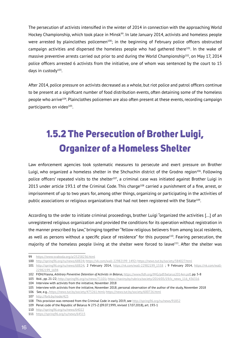The persecution of activists intensified in the winter of 2014 in connection with the approaching World Hockey Championship, which took place in Minsk<sup>99</sup>. In late January 2014, activists and homeless people were arrested by plainclothes policemen<sup>100</sup>; in the beginning of February police officers obstructed campaign activities and dispersed the homeless people who had gathered there $101$ . In the wake of massive preventive arrests carried out prior to and during the World Championship<sup>102</sup>, on May 17, 2014 police officers arrested 6 activists from the initiative, one of whom was sentenced by the court to 15 days in custody<sup>103</sup>.

After 2014, police pressure on activists decreased as a whole, but riot police and patrol officers continue to be present at a significant number of food distribution events, often detaining some of the homeless people who arrive104. Plainclothes policemen are also often present at these events, recording campaign participants on video<sup>105</sup>.

# 1.5.2 The Persecution of Brother Luigi, Organizer of a Homeless Shelter

Law enforcement agencies took systematic measures to persecute and exert pressure on Brother Luigi, who organized a homeless shelter in the Shchuchin district of the Grodno region<sup>106</sup>. Following police officers' repeated visits to the shelter<sup>107</sup>, a criminal case was initiated against Brother Luigi in 2013 under article 193.1 of the Criminal Code. This charge<sup>108</sup> carried a punishment of a fine, arrest, or imprisonment of up to two years for, among other things, organizing or participating in the activities of public associations or religious organizations that had not been registered with the State<sup>109</sup>.

According to the order to initiate criminal proceedings, brother Luigi "organized the activities [...] of an unregistered religious organization and provided the conditions for its operation without registration in the manner prescribed by law," bringing together "fellow religious believers from among local residents, as well as persons without a specific place of residence" for this purpose<sup>110</sup>. Fearing persecution, the majority of the homeless people living at the shelter were forced to leave<sup>111</sup>. After the shelter was

<sup>99</sup> https://www.svaboda.org/a/25258236.html

<sup>100</sup> http://spring96.org/ru/news/68824; https://vk.com/wall-22982199\_1492; https://news.tut.by/society/384027.html

<sup>101</sup> http://spring96.org/ru/news/68824; 2 February 2014, https://vk.com/wall-22982199\_1558 ; 9 February 2014, https://vk.com/wall-22982199\_1694

<sup>102</sup> FIDH/Viasna, *Arbitrary Preventive Detention of Activists in Belarus*, https://www.fidh.org/IMG/pdf/belarus2014en.pdf, pp. 5-8

<sup>103</sup> Ibid., pp. 21-22; http://spring96.org/ru/news/71101; https://naviny.by/rubrics/society/2014/05/19/ic\_news\_116\_436316

<sup>104</sup> Interview with activists from the initiative, November 2018

<sup>105</sup> Interview with activists from the initiative, November 2018; personal observation of the author of the study, November 2018

<sup>106</sup> See, e.g., https://news.tut.by/society/475261.html; https://news.tut.by/society/600726.html

<sup>107</sup> http://forb.by/node/425

<sup>108</sup> This provision was removed from the Criminal Code in early 2019, see http://spring96.org/ru/news/91852

<sup>109</sup> Penal code of the Republic of Belarus N 275-Z (09.07.1999, revised 17.07.2018), art. 193-1

<sup>110</sup> http://spring96.org/ru/news/64022

<sup>111</sup> https://spring96.org/ru/news/64515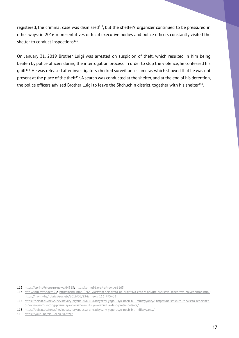registered, the criminal case was dismissed<sup>112</sup>, but the shelter's organizer continued to be pressured in other ways: in 2016 representatives of local executive bodies and police officers constantly visited the shelter to conduct inspections<sup>113</sup>.

On January 31, 2019 Brother Luigi was arrested on suspicion of theft, which resulted in him being beaten by police officers during the interrogation process. In order to stop the violence, he confessed his guilt<sup>114</sup>. He was released after investigators checked surveillance cameras which showed that he was not present at the place of the theft<sup>115</sup>. A search was conducted at the shelter, and at the end of his detention, the police officers advised Brother Luigi to leave the Shchuchin district, together with his shelter<sup>116</sup>.

<sup>112</sup> https://spring96.org/ru/news/64515; http://spring96.org/ru/news/66163

<sup>113</sup> http://forb.by/node/425; http://bchd.info/10764-vlastyam-selsoveta-ne-nravitsya-chto-v-priyute-alekseya-schedrova-zhivet-sbrod.html; https://naviny.by/rubrics/society/2016/05/23/ic\_news\_116\_475403

<sup>114</sup> https://belsat.eu/news/nevinavaty-pryznausya-u-kradzyazhy-yago-usyu-noch-bili-militsyyanty/; https://belsat.eu/ru/news/za-reportazho-nevinovnom-kotoryj-priznalsya-v-krazhe-militsiya-vozbudila-delo-protiv-belsata/

<sup>115</sup> https://belsat.eu/news/nevinavaty-pryznausya-u-kradzyazhy-yago-usyu-noch-bili-militsyyanty/

<sup>116</sup> https://youtu.be/Nc\_RdLrU\_VI?t=99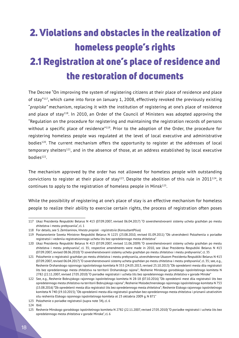# 2. Violations and obstacles in the realization of homeless people's rights 2.1 Registration at one's place of residence and the restoration of documents

The Decree "On improving the system of registering citizens at their place of residence and place of stay"117, which came into force on January 1, 2008, effectively revoked the previously existing "*propiska"* mechanism, replacing it with the institution of registering at one's place of residence and place of stay<sup>118</sup>. In 2010, an Order of the Council of Ministers was adopted approving the "Regulation on the procedure for registering and maintaining the registration records of persons without a specific place of residence"<sup>119</sup>. Prior to the adoption of the Order, the procedure for registering homeless people was regulated at the level of local executive and administrative bodies<sup>120</sup>. The current mechanism offers the opportunity to register at the addresses of local temporary shelters<sup>121</sup>, and in the absence of those, at an address established by local executive bodies<sup>122</sup>.

The mechanism approved by the order has not allowed for homeless people with outstanding convictions to register at their place of stay<sup>123</sup>. Despite the abolition of this rule in 2011<sup>124</sup>, it continues to apply to the registration of homeless people in Minsk<sup>125</sup>.

While the possibility of registering at one's place of stay is an effective mechanism for homeless people to realize their ability to exercise certain rights, the process of registration often poses

124 Ibid.

<sup>117</sup> Ukaz Prezidenta Respubliki Belarus N 413 (07.09.2007, revised 06.04.2017) "O sovershenstvovanii sistemy ucheta grazhdan po mestu zhitelstva i mestu prebyvaniia", cl. 1

<sup>118</sup> For details, see S. Zemlianinov, *Vmesto propiski - registratsiia* (KonsultantPlius)

<sup>119</sup> Postanovlenie Soveta Ministrov Respubliki Belarus N 1225 (23.08.2010, revised 01.09.2011) "Ob utverzhdenii Polozheniia o poriadke registratsii i vedeniia registratsionnogo ucheta lits bez opredelennogo mesta zhitelstva"

<sup>120</sup> Ukaz Prezidenta Respubliki Belarus N 413 (07.09.2007, revised 11.06.2009) "O sovershenstvovanii sistemy ucheta grazhdan po mestu zhitelstva i mestu prebyvaniia", cl. 35; respective amendments were made in 2010, see Ukaz Prezidenta Respubliki Belarus N 413 (07.09.2007, revised 08.06.2010) "O sovershenstvovanii sistemy ucheta grazhdan po mestu zhitelstva i mestu prebyvaniia", cl. 35

<sup>121</sup> Polozhenie o registratsii grazhdan po mestu zhitelstva i mestu prebyvaniia, utverzhdennoe Ukazom Prezidenta Respubliki Belarus N 413 (07.09.2007, revised 06.04.2017) "O sovershenstvovanii sistemy ucheta grazhdan po mestu zhitelstva i mestu prebyvaniia", cl. 35; see, e.g., Reshenie Orshanskogo rajonnogo ispolnitelnogo komiteta N 353 (24.05.2013, revised 25.10.2013) "Ob opredelenii mesta dlia registratsii lits bez opredelennogo mesta zhitelstva na territorii Orshanskogo rajona"; Reshenie Minskogo gorodskogo ispolnitelnogo komiteta N 2782 (22.11.2007, revised 27.05.2010) "O poriadke registratsii i ucheta lits bez opredelennogo mesta zhitelstva v gorode Minske"

<sup>122</sup> See, e.g., Reshenie Bobrujskogo rajonnogo ispolnitelnogo komiteta N 28-18 (07.10.2016) "Ob opredelenii mest dlia registratsii lits bez opredelennogo mesta zhitelstva na territorii Bobrujskogo rajona"; Reshenie Molodechnenskogo rajonnogo ispolnitelnogo komiteta N 753 (15.08.2016) "Ob opredelenii mesta dlia registratsii lits bez opredelennogo mesta zhitelstva"; Reshenie Elskogo rajonnogo ispolnitelnogo komiteta N 740 (19.10.2015); "Ob opredelenii mesta dlia registratsii grazhdan bez opredelennogo mesta zhitelstva i priznanii utrativshim silu resheniia Elskogo rajonnogo ispolnitelnogo komiteta ot 23 oktiabria 2009 g. N 871"

<sup>123</sup> Polozhenie o poriadke registratsii (supra note 34), cl. 6

<sup>125</sup> Reshenie Minskogo gorodskogo ispolnitelnogo komiteta N 2782 (22.11.2007, revised 27.05.2010) "O poriadke registratsii i ucheta lits bez opredelennogo mesta zhitelstva v gorode Minske", cl. 6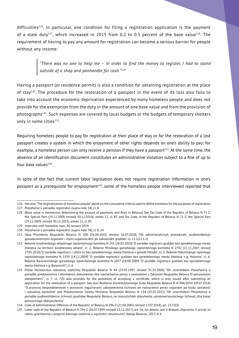difficulties<sup>126</sup>. In particular, one condition for filing a registration application is the payment of a state duty<sup>127</sup>, which increased in 2015 from 0.2 to 0.5 percent of the base value<sup>128</sup>. The requirement of having to pay any amount for registration can become a serious barrier for people without any income:

> *"There was no one to help me – in order to find the money to register, I had to stand outside of a shop and panhandle for cash."129*

Having a passport (or residence permit) is also a condition for obtaining registration at the place of stay<sup>130</sup>. The procedure for the restoration of a passport in the event of its loss also fails to take into account the economic deprivation experienced by many homeless people and does not provide for the exemption from the duty in the amount of one base value and from the provision of photographs<sup>131</sup>. Such expenses are covered by local budgets or the budgets of temporary shelters only in some cities<sup>132</sup>.

Requiring homeless people to pay for registration at their place of stay or for the restoration of a lost passport creates a system in which the enjoyment of other rights depends on one's ability to pay: for example, a homeless person can only receive a pension if they have a passport<sup>133</sup>. At the same time, the absence of an identification document constitutes an administrative violation subject to a fine of up to four base values<sup>134</sup>.

In spite of the fact that current labor legislation does not require registration information in one's passport as a prerequisite for employment<sup>135</sup>, some of the homeless people interviewed reported that

<sup>126</sup> See also "The stigmatization of homeless people"above on the cumulative criteria used to define homeless for the purposes of registration

<sup>127</sup> Polozhenie o poriadke registratsii (supra note 34), cl. 8

<sup>128</sup> [Base value is mechanism determining the amount of payments and fines in Belarus] See Tax Code of the Republic of Belarus N 71-Z, the Special Part (29.12.2009, revised 30.12.2014), annex 22, cl. 85 and Tax Code of the Republic of Belarus N 71-Z, the Special Part (29.12.2009, revised 30.12.2015), annex 22, cl. 85

<sup>129</sup> Interview with homeless man, 30 January 2019

<sup>130</sup> Polozhenie o poriadke registratsii (supra note 34), cl. 8, 14

<sup>131</sup> Ukaz Prezidenta Respubliki Belarus N 200 (26.04.2010, revised 26.07.2018) "Ob administrativnyh procedurah, osuŝestvlâemyh gosudarstvennymi organami i inymi organizaciâmi po zaâvleniâm graždan", cl. 11.1(11.1.2)

<sup>132</sup> Rešenie Grodnenskogo oblastnogo ispolnitelnogo komiteta N 241 (26.03.2010) "O porâdke registracii graždan bez opredelennogo mesta žitelstva na territorii Grodnenskoj oblasti", cl .2; Rešenie Minskogo gorodskogo ispolnitelnogo komiteta N 2782 (22.11.2007, revised 27.05.2010) "O porâdke registracii i učeta lic bez opredelennogo mesta žitelstva v gorode Minske", cl. 3; Rešenie Maloritskogo rajonnogo ispolnitelnogo komiteta N 1359 (14.12.2009) "O porâdke registracii graždan bez opredelennogo mesta žitelstva v g. Malorita", cl. 6; Rešenie Baranovičskogo gorodskogo ispolnitelnogo komiteta N 2037 (18.08.2009) "O porâdke registracii graždan bez opredelennogo mesta žitelstva v g. Baranoviči", cl. 6

<sup>133</sup> Prikaz Ministerstva sotsialnoj zashchity Respubliki Belarus N 44 (23.05.1997, revised 31.10.2006) "Ob utverzhdenii Polozheniia o poriadke predstavleniia i oformleniia dokumentov dlia naznacheniia pensij v sootvetstvii s Zakonom Respubliki Belarus 'O pensionnom obespechenii'", cl. 7; cl. 7(3) also provides for the possibility of accepting a certificate, which is only issued after submitting an application for the restoration of a passport. See also Reshenie Konstitutsionnogo Suda Respubliki Belarus N R-944/2014 (09.07.2014) "O pravovoj neopredelennosti v pravovom regulirovanii udostovereniia lichnosti pri naznachenii pensii organami po trudu, zaniatosti i sotsialnoj zashchite" and Postanovlenie Soveta Ministrov Respubliki Belarus N 134 (25.02.2015) "Ob utverzhdenii Polozheniia o poriadke podtverzhdeniia lichnosti grazhdan Respubliki Belarus, ne imeiushchikh dokumenta, udostoveriaiushchego lichnost, dlia tselej pensionnogo obespecheniia"

<sup>134</sup> Code of Administrative Offences of the Republic of Belarus N 296-Z (21.04.2003, revised 17.07.2018), art. 23.53(3)

<sup>135</sup> Labor code of the Republic of Belarus N 296-Z (26.07.1999, revised 13.11.2017), art. 26; for details, see. V. Bratash, *Dopustimo li priniat na rabotu grazhdanina, v pasporte kotorogo svedeniia o registratsii otsutstvuiut?*, Nalogi Belarusi, 2013, N 6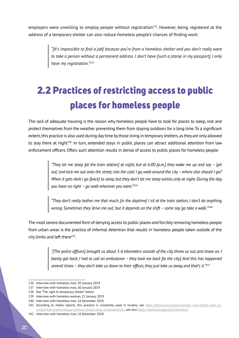employers were unwilling to employ people without registration<sup>136</sup>. However, being registered at the address of a temporary shelter can also reduce homeless people's chances of finding work:

> *"[It's impossible to find a job] because you're from a homeless shelter and you don't really want to take a person without a permanent address. I don't have [such a stamp in my passport], I only have my registration."*<sup>137</sup>

# 2.2 Practices of restricting access to public places for homeless people

The lack of adequate housing is the reason why homeless people have to look for places to sleep, rest and protect themselves from the weather preventing them from staying outdoors for a long time.To a significant extent, this practice is also used during day time by those living in temporary shelters, as they are only allowed to stay there at night<sup>138</sup>. In turn, extended stays in public places can attract additional attention from law enforcement officers.Often, such attention results in denial of access to public places for homeless people:

> *"They let me sleep [at the train station] at night, but at 6:00 [a.m.] they wake me up and say – 'get out,' and kick me out onto the street, into the cold. I go, walk around the city – where else should I go? When it gets dark I go [back] to sleep, but they don't let me sleep earlier, only at night. During the day, you have no right – go walk wherever you want."*<sup>139</sup>

> *"They don't really bother me that much, [in the daytime] I sit at the train station, I don't do anything wrong. Sometimes they 'drive me out,' but it depends on the shift – some say 'go take a walk.'"*<sup>140</sup>

The most severe documented form of denying access to public places and forcibly removing homeless people from urban areas is the practice of informal detention that results in homeless people taken outside of the city limits and left there $141$ .

> *"[The police officers] brought us about 5-6 kilometers outside of the city, threw us out, and drove on. I barely got back, I had to call an ambulance – they took me back [to the city]. And this has happened several times – they don't take us down to their offices, they just take us away, and that's it."*<sup>142</sup>

<sup>136</sup> Interview with homeless man, 30 January 2019

<sup>137</sup> Interview with homeless man, 30 January 2019

<sup>138</sup> See "The right to temporary shelter" below

<sup>139</sup> Interview with homeless woman, 22 January 2019

<sup>140</sup> Interview with homeless man, 16 December 2018

<sup>141</sup> According to media reports, this practice is constantly used in Grodno, see https://belsat.eu/ru/news/vyvezli-v-les-chtoby-zdes-nevonyali-kak-grodnenskaya-militsiya-chistit-ulitsy-ot-bezdomnyh/, see also https://bolshoi.by/gorod/vyizhivshie/

<sup>142</sup> Interview with homeless man, 16 December 2018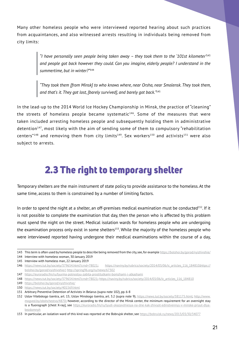Many other homeless people who were interviewed reported hearing about such practices from acquaintances, and also witnessed arrests resulting in individuals being removed from city limits:

> *"I have personally seen people being taken away – they took them to the '101st kilometer'*<sup>143</sup> *and people got back however they could. Can you imagine, elderly people? I understand in the summertime, but in winter?"*<sup>144</sup>

> *"They took them [from Minsk] to who knows where, near Orsha, near Smolensk. They took them, and that's it. They got lost, [barely survived], and barely got back."*<sup>145</sup>

In the lead-up to the 2014 World Ice Hockey Championship in Minsk, the practice of "cleaning" the streets of homeless people became systematic $146$ . Some of the measures that were taken included arresting homeless people and subsequently holding them in administrative detention<sup>147</sup>, most likely with the aim of sending some of them to compulsory "rehabilitation centers"<sup>148</sup> and removing them from city limits<sup>149</sup>. Sex workers<sup>150</sup> and activists<sup>151</sup> were also subject to arrests.

### 2.3 The right to temporary shelter

Temporary shelters are the main instrument of state policy to provide assistance to the homeless. At the same time, access to them is constrained by a number of limiting factors.

In order to spend the night at a shelter, an off-premises medical examination must be conducted<sup>152</sup>. If it is not possible to complete the examination that day, then the person who is affected by this problem must spend the night on the street. Medical isolation wards for homeless people who are undergoing the examination process only exist in some shelters<sup>153</sup>. While the majority of the homeless people who were interviewed reported having undergone their medical examinations within the course of a day,

<sup>143</sup> This term is often used by homeless people to describe being removed from the city, see, for example https://bolshoi.by/gorod/vyizhivshie/ 144 Interview with homeless woman, 30 January 2019

<sup>145</sup> Interview with homeless man, 22 January 2019

<sup>146</sup> https://news.tut.by/society/379654.html?crnd=78021; https://naviny.by/rubrics/society/2014/03/06/ic\_articles\_116\_184810;https:// bolshoi.by/gorod/vyizhivshie/; http://spring96.org/ru/news/67302

<sup>147</sup> https://euroradio.fm/ru/tyurma-polnostyu-zabita-prostitutkami-bomzhami-i-alkashami

<sup>148</sup> https://news.tut.by/society/379654.html?crnd=78021; https://naviny.by/rubrics/society/2014/03/06/ic\_articles\_116\_184810

<sup>149</sup> https://bolshoi.by/gorod/vyizhivshie/

<sup>150</sup> https://news.tut.by/society/401569.html

<sup>151</sup> Arbitrary Preventive Detention of Activists in Belarus (supra note 102), pp. 6-8

<sup>152</sup> Ustav Vitebskogo tsentra, art. 15; Ustav Minskogo tsentra, art. 3.2 (supra note 9); https://news.tut.by/society/381175.html; http://www. mogved.by/obshchestvo/4870; however, according to the director of the Minsk center, the minimum requirement for an overnight stay is a fluorograph [chest X-ray], see https://euroradio.fm/ru/lyudi-okazavshiesya-na-dne-kak-zhivyot-edinstvennyy-v-minske-priyut-dlyabezdomnyh

<sup>153</sup> In particular, an isolation ward of this kind was reported at the Bobrujsk shelter, see https://bobruisk.ru/news/2013/03/30/34077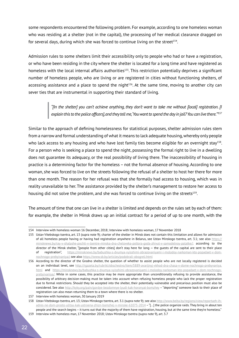some respondents encountered the following problem. For example, according to one homeless woman who was residing at a shelter (not in the capital), the processing of her medical clearance dragged on for several days, during which she was forced to continue living on the street<sup>154</sup>.

Admission rules to some shelters limit their accessibility only to people who had or have a registration, or who have been residing in the city where the shelter is located for a long time and have registered as homeless with the local internal affairs authorities<sup>155</sup>. This restriction potentially deprives a significant number of homeless people, who are living or are registered in cities without functioning shelters, of accessing assistance and a place to spend the night<sup>156</sup>. At the same time, moving to another city can sever ties that are instrumental in supporting their standard of living.

> *"[In the shelter] you can't achieve anything, they don't want to take me without [local] registration. [I explain this to the police officers], and they tell me, 'You want to spend the day in jail? You can live there.'"<sup>157</sup>*

Similar to the approach of defining homelessness for statistical purposes, shelter admission rules stem from a narrow and formal understanding of what it means to lack adequate housing, whereby only people who lack access to any housing and who have lost family ties become eligible for an overnight stay<sup>158</sup>. For a person who is seeking a place to spend the night, possessing the formal right to live in a dwelling does not guarantee its adequacy, or the real possibility of living there. The inaccessibility of housing in practice is a determining factor for the homeless – not the formal absence of housing. According to one woman, she was forced to live on the streets following the refusal of a shelter to host her there for more than one month. The reason for her refusal was that she formally had access to housing, which was in reality unavailable to her. The assistance provided by the shelter's management to restore her access to housing did not solve the problem, and she was forced to continue living on the streets<sup>159</sup>.

The amount of time that one can live in a shelter is limited and depends on the rules set by each of them: for example, the shelter in Minsk draws up an initial contract for a period of up to one month, with the

<sup>154</sup> Interview with homeless woman 16 December, 2018; Interview with homeless woman, 17 November 2018

<sup>155</sup> Ustav Vitebskogo tsentra, art. 13 (supra note 9); charter of the shelter in Minsk does not contain this limitation and allows for admission of all homeless people having or having had registration anywhere in Belarus, see Ustav Minskogo tsentra, art. 3.1; see also https:// minsknews.by/ray-v-shalashe-pochti-v-tsentre-minska-dva-cheloveka-poltora-goda-zhivut-v-samodelnoy-palatke/; according to the director of the Minsk shelter, "[people from other cities] don't stay here for long — the guests of the capital are sent to their place of registration", https://minsknews.by/babushka-s-dvumya-vyisshimi-obrazovaniyami-i-molodoy-narkoman-kto-popadaet-v-domnochnogo-prebyivaniya/; see also https://www.sb.by/articles/podobrali-obogreli.html

<sup>156</sup> According to the director of the Grodno shelter, the question of whether to assist people who are not locally registered is decided on an individual level, see http://rgazeta.by/rubriki/obschestvo/item/5889-avarijnyj-vkhod-dva-chasa-v-dome-nochnogo-prebyvaniya. html and https://minsknews.by/babushka-s-dvumya-vyisshimi-obrazovaniyami-i-molodoy-narkoman-kto-popadaet-v-dom-nochnogoprebyivaniya/. While in some cases, this practice may be more appropriate than unconditionally refusing to provide assistance, the possibility of arbitrary decision-making must be taken into account when refusing homeless people who lack the proper registration due to formal restrictions. Should they be accepted into the shelter, their potentially vulnerable and precarious position must also be considered. See also http://kyky.org/pain/gordye-bezdomnye-lyudi-kak-horonyat-bomzhey – "deporting" someone back to their place of registration can also mean returning them to a town where there is no shelter.

<sup>157</sup> Interview with homeless woman, 30 January 2019

<sup>158</sup> Ustav Vitebskogo tsentra, art. 13; Ustav Minskogo tsentra, art. 3.1 (supra note 9); see also http://www.belta.by/regions/view/reportazh-ihadres-ne-dom-prosto-ulitsa.-kak-ustroena-zhizn-bomzhej-v-minske-61075-2014 – "[...] the police organize raids. They bring in about ten people and the search begins – it turns out that the majority of them have registration, housing, but at the same time they're homeless." 159 Interview with homeless man, 17 November 2018; Ustav Minskogo tsentra (supra note 9), art. 3.7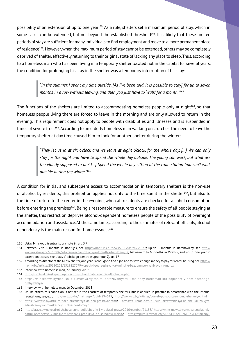possibility of an extension of up to one year<sup>160</sup>. As a rule, shelters set a maximum period of stay, which in some cases can be extended, but not beyond the established threshold<sup>161</sup>. It is likely that these limited periods of stay are sufficient for many individuals to find employment and move to a more permanent place of residence<sup>162</sup>. However, when the maximum period of stay cannot be extended, others may be completely deprived of shelter, effectively returning to their original state of lacking any place to sleep. Thus, according to a homeless man who has been living in a temporary shelter located not in the capital for several years, the condition for prolonging his stay in the shelter was a temporary interruption of his stay:

> *"In the summer, I spent my time outside. [As I've been told, it is possible to stay] for up to seven months in a row without leaving, and then you just have to 'walk' for a month."*<sup>163</sup>

The functions of the shelters are limited to accommodating homeless people only at night164, so that homeless people living there are forced to leave in the morning and are only allowed to return in the evening. This requirement does not apply to people with disabilities and illnesses and is suspended in times of severe frost<sup>165</sup>. According to an elderly homeless man walking on crutches, the need to leave the temporary shelter at day time caused him to look for another shelter during the winter:

> *"They let us in at six o'clock and we leave at eight o'clock, for the whole day. […] We can only stay for the night and have to spend the whole day outside. The young can work, but what are the elderly supposed to do? […] Spend the whole day sitting at the train station. You can't walk outside during the winter."*<sup>166</sup>

A condition for initial and subsequent access to accommodation in temporary shelters is the non-use of alcohol by residents; this prohibition applies not only to the time spent in the shelter<sup>167</sup>, but also to the time of return to the center in the evening, when all residents are checked for alcohol consumption before entering the premises<sup>168</sup>. Being a reasonable measure to ensure the safety of all people staying at the shelter, this restriction deprives alcohol-dependent homeless people of the possibility of overnight accommodation and assistance.At the same time, according to the estimates of relevant officials, alcohol dependency is the main reason for homelessness $169$ .

<sup>160</sup> Ustav Minskogo tsentra (supra note 9), art. 3.7

<sup>161</sup> Between 3 to 6 months in Bobrujsk, see https://bobruisk.ru/news/2013/03/30/34077; up to 6 months in Baranovichy, see http:// www.nashkraj.by/2012/02/v-baranovichax-otkrylsya-dom-dlya-bezdomnyx/; between 2 to 6 months in Vitebsk, and up to one year in exceptional cases, see Ustav Vitebskogo tsentra (supra note 9), art. 17

<sup>162</sup> According to director of the Minsk shelter, one year is enough to find a job and to save enough money to pay for rental housing, see https:// naviny.by/article/20180228/1519827079-vypesh-i-sogreeshsya-kak-minskie-bezdomnye-vyzhivayut-v-moroz

<sup>163</sup> Interview with homeless man, 22 January 2019

<sup>164</sup> http://komtrud.minsk.gov.by/protection/subordinate\_agencies/flophouse.php

<sup>165</sup> https://minsknews.by/babushka-s-dvumya-vyisshimi-obrazovaniyami-i-molodoy-narkoman-kto-popadaet-v-dom-nochnogo-

prebyivaniya/ 166 Interview with homeless man, 16 December 2018

<sup>167</sup> Unlike others, this condition is not set in the charters of temporary shelters, but is applied in practice in accordance with the internal regulations, see, e.g., http://mvd.gov.by/main.aspx?guid=294643; https://www.sb.by/articles/bomzh-po-sobstvennomu-zhelaniyu.html

<sup>168</sup> https://www.sb.by/articles/noch-otlezhatsya-da-den-prostoyat.html; https://euroradio.fm/ru/lyudi-okazavshiesya-na-dne-kak-zhivyotedinstvennyy-v-minske-priyut-dlya-bezdomnyh

<sup>169</sup> http://pravo.by/novosti/obshchestvenno-politicheskie-i-v-oblasti-prava/2016/october/21188/; https://minsknews.by/aktsiya-sotsialnyiypatrul-nachnetsya-v-minske-v-noyabre-i-prodlitsya-do-seredinyi-marta/; https://sputnik.by/society/20161116/1026102311/tipichnyj-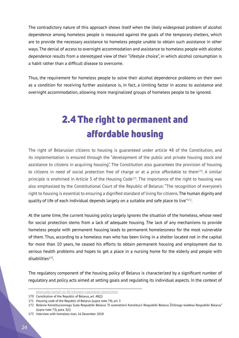The contradictory nature of this approach shows itself when the likely widespread problem of alcohol dependence among homeless people is measured against the goals of the temporary shelters, which are to provide the necessary assistance to homeless people unable to obtain such assistance in other ways. The denial of access to overnight accommodation and assistance to homeless people with alcohol dependence results from a stereotyped view of their "lifestyle choice", in which alcohol consumption is a habit rather than a difficult disease to overcome.

Thus, the requirement for homeless people to solve their alcohol dependence problems on their own as a condition for receiving further assistance is, in fact, a limiting factor in access to assistance and overnight accommodation, allowing more marginalized groups of homeless people to be ignored.

# 2.4 The right to permanent and affordable housing

The right of Belarusian citizens to housing is guaranteed under article 48 of the Constitution, and its implementation is ensured through the "development of the public and private housing stock and assistance to citizens in acquiring housing". The Constitution also guarantees the provision of housing to citizens in need of social protection free of charge or at a price affordable to them<sup>170</sup>. A similar principle is enshrined in Article 3 of the Housing Code<sup>171</sup>. The importance of the right to housing was also emphasized by the Constitutional Court of the Republic of Belarus: "The recognition of everyone's right to housing is essential to ensuring a dignified standard of living for citizens. The human dignity and quality of life of each individual depends largely on a suitable and safe place to live"<sup>172</sup>.

At the same time, the current housing policy largely ignores the situation of the homeless, whose need for social protection stems from a lack of adequate housing. The lack of any mechanisms to provide homeless people with permanent housing leads to permanent homelessness for the most vulnerable of them. Thus, according to a homeless man who has been living in a shelter located not in the capital for more than 10 years, he ceased his efforts to obtain permanent housing and employment due to serious health problems and hopes to get a place in a nursing home for the elderly and people with disabilities173.

The regulatory component of the housing policy of Belarus is characterized by a significant number of regulatory and policy acts aimed at setting goals and regulating its individual aspects. In the context of

belorusskij-bomzh-za-40-introvert-s-pechalnoj-istoriej.html

<sup>170</sup> Constitution of the Republic of Belarus, art. 48(2)

<sup>171</sup> Housing code of the Republic of Belarus (supra note 74), art. 3

<sup>172</sup> Rešenie Konstitucionnogo Suda Respubliki Belarus "O sootvetstvii Konstitucii Respubliki Belarus Žiliŝnogo kodeksa Respubliki Belarus" (supra note 73), para. 3(1)

<sup>173</sup> Interview with homeless man, 16 December 2018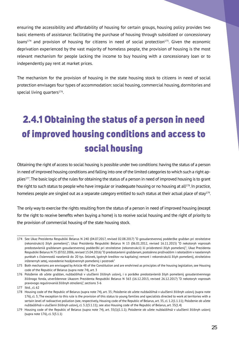ensuring the accessibility and affordability of housing for certain groups, housing policy provides two basic elements of assistance: facilitating the purchase of housing through subsidized or concessionary loans<sup>174</sup> and provision of housing for citizens in need of social protection<sup>175</sup>. Given the economic deprivation experienced by the vast majority of homeless people, the provision of housing is the most relevant mechanism for people lacking the income to buy housing with a concessionary loan or to independently pay rent at market prices.

The mechanism for the provision of housing in the state housing stock to citizens in need of social protection envisages four types of accommodation: social housing, commercial housing, dormitories and special living quarters<sup>176</sup>.

# 2.4.1 Obtaining the status of a person in need of improved housing conditions and access to social housing

Obtaining the right of access to social housing is possible under two conditions: having the status of a person in need of improved housing conditions and falling into one of the limited categories to which such a right applies177. The basic logic of the rules for obtaining the status of a person in need of improved housing is to grant the right to such status to people who have irregular or inadequate housing or no housing at all<sup>178</sup>. In practice, homeless people are singled out as a separate category entitled to such status at their actual place of stay<sup>179</sup>.

The only way to exercise the rights resulting from the status of a person in need of improved housing (except for the right to receive benefits when buying a home) is to receive social housing and the right of priority to the provision of commercial housing of the state housing stock.

<sup>174</sup> See Ukaz Prezidenta Respubliki Belarus N 240 (04.07.2017, revised 02.08.2017) "O gosudarstvennoj podderžke graždan pri stroitelstve (rekonstrukcii) žilyh pomeŝenij"; Ukaz Prezidenta Respubliki Belarus N 13 (06.01.2012, revised 16.11.2015) "O nekotoryh voprosah predostavleniâ graždanam gosudarstvennoj podderžki pri stroitelstve (rekonstrukcii) ili priobretenii žilyh pomeŝenij"; Ukaz Prezidenta Respubliki Belarus N 75 (07.02.2006, revised 15.04.2016) "O predostavlenii graždanam, postoânno proživaûŝim i rabotaûŝim v naselennyh punktah s čislennostû naseleniâ do 20 tys. čelovek, lgotnyh kreditov na kapitalnyj remont i rekonstrukciû žilyh pomeŝenij, stroitelstvo inženernyh setej, vozvedenie hozâjstvennyh pomeŝenij i postroek"

<sup>175</sup> Both mechanisms are envisaged by Article 48 of the Constitution and are enshrined as principles of the housing legislation, see Housing code of the Republic of Belarus (supra note 74), art. 3

<sup>176</sup> Položenie ob učete graždan, nuždaûŝihsâ v ulučšenii žiliŝnyh uslovij, i o porâdke predostavleniâ žilyh pomeŝenij gosudarstvennogo žiliŝnogo fonda, utverždennoe Ukazom Prezidenta Respubliki Belarus N 563 (16.12.2013, revised 26.12.2017) "O nekotoryh voprosah pravovogo regulirovaniâ žiliŝnyh otnošenij", sections 3-6

<sup>177</sup> Ibid., cl. 62

<sup>178</sup> Housing code of the Republic of Belarus (supra note 74), art. 35; Položenie ob učete nuždaûŝihsâ v ulučšenii žiliŝnyh uslovij (supra note 176), cl. 3; The exception to this rule is the provision of this status to young families and specialists directed to work at territories with a sertain level of radioactive pollution (see, respectively, Housing code of the Republic of Belarus, art. 35, cl. 1.2(1.1.11); Položenie ob učete nuždaûŝihsâ v ulučšenii žiliŝnyh uslovij, cl. 3.2(3.1.11); see also Housing code of the Republic of Belarus, art. 35(1.4)

<sup>179</sup> Housing code of the Republic of Belarus (supra note 74), art. 35(1)(1.1.1); Položenie ob učete nuždaûŝihsâ v ulučšenii žiliŝnyh uslovij (supra note 176), cl. 3(3.1.1)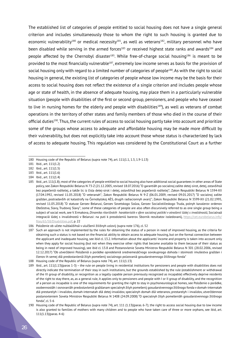The established list of categories of people entitled to social housing does not have a single general criterion and includes simultaneously those to whom the right to such housing is granted due to economic vulnerability<sup>180</sup> or medical necessity<sup>181</sup>, as well as veterans<sup>182</sup>, military personnel who have been disabled while serving in the armed forces<sup>183</sup> or received highest state ranks and awards<sup>184</sup> and people affected by the Chernobyl disaster<sup>185</sup>. While free-of-charge social housing<sup>186</sup> is meant to be provided to the most financially vulnerable<sup>187</sup>, extremely low income serves as basis for the provision of social housing only with regard to a limited number of categories of people<sup>188</sup>. As with the right to social housing in general, the existing list of categories of people whose low income may be the basis for their access to social housing does not reflect the existence of a single criterion and includes people whose age or state of health, in the absence of adequate housing, may place them in a particularly vulnerable situation (people with disabilities of the first or second group, pensioners, and people who have ceased to live in nursing homes for the elderly and people with disabilities<sup>189</sup>), as well as veterans of combat operations in the territory of other states and family members of those who died in the course of their official duties190. Thus, the current rules of access to social housing partly take into account and prioritize some of the groups whose access to adequate and affordable housing may be made more difficult by their vulnerability, but does not explicitly take into account those whose status is characterized by lack of access to adequate housing. This regulation was considered by the Constitutional Court as a further

183 Ibid., art. 111(1.6)

<sup>180</sup> Housing code of the Republic of Belarus (supra note 74), art. 111(1.1, 1.3, 1.9-1.13)

<sup>181</sup> Ibid., art. 111(1.2)

<sup>182</sup> Ibid., art. 111(1.5)

<sup>184</sup> Ibid., art. 111(1.4)

<sup>185</sup> Ibid., art. 111(1.8); most of the categories of people entitled to social housing also have additional social guarantees in other areas of State policy, see Zakon Respubliki Belarus N 73-Z (21.12.2005, revised 18.07.2016) "O garantiâh po socialnoj zaŝite detej-sirot, detej, ostavšihsâ bez popečeniâ roditelej, a takže lic iz čisla detej-sirot i detej, ostavšihsâ bez popečeniâ roditelej"; Zakon Respubliki Belarus N 1594-XII (17.04.1992, revised 11.05.2018) "O veteranah"; Zakon Respubliki Belarus N 9-Z (06.01.2009, revised 09.01.2017) "O socialnoj zaŝite graždan, postradavših ot katastrofy na Černobylskoj AÈS, drugih radiacionnyh avarij"; Zakon Respubliki Belarus N 3599-XII (21.02.1995, revised 11.05.2018) "O statuse Geroev Belarusi, Geroev Sovetskogo Soûza, Geroev Socialističeskogo Truda, polnyh kavalerov ordenov Otečestva, Slavy, Trudovoj Slavy"; some of these categories of people are also often discursively referred to as one single group being a subject of social work, see V. Ermakova, *Dinamika ritoričeskih harakteristik v sfere socialnoj politiki v otnošenii lûdej s invalidnostû*, Socialnaâ integraciâ lûdej s invalidnostû v Belarusi: na puti k preodoleniû barerov. Sbornik rezultatov issledovanij, https://cet.eurobelarus.info/ files/65/58/Disabilities.pdf, p. 22

<sup>186</sup> Položenie ob učete nuždaûŝihsâ v ulučšenii žiliŝnyh uslovij (supra note 176), cl. 52

<sup>187</sup> Such an approach is not implemented by the rules for obtaining the status of a person in need of improved housing, as the criteria for obtaining such a status is not based on the financial ability to obtain access to adequate housing, but on the formal connection between the applicant and inadequate housing, see ibid cl. 13.2. Information about the applicants' income and property is taken into account only when they apply for social housing (but not when they exercise other rights that become available to them because of their status as being in need of improved housing), see ibid cl. 13.8 and Postanovlenie Soveta Ministrov Respubliki Belarus N 301 (28.02.2006, revised 12.12.2017) "Ob utverždenii Položeniâ o porâdke opredeleniâ srednemesâčnogo sovokupnogo dohoda i stoimosti imuŝestva graždan i členov ih semej dlâ predostavleniâ žilyh pomeŝenij socialnogo polzovaniâ gosudarstvennogo žiliŝnogo fonda"

<sup>188</sup> Housing code of the Republic of Belarus (supra note 74), art. 111(1.13)

<sup>189</sup> Ibid., art. 111(1.13)(paras 1-3) – the rule on people living in residential institutions for pensioners and people with disabilities does not directly indicate the termination of their stay in such institutions, but the grounds established by the rule (establishment or withdrawal of the III group of disability, or recognition as a legally capable person previously recognized as incapable) effectively deprive residents of the right to stay there, as, as a general rule, it applies only to pensioners and people with I or II group of disability, and the recognition of a person as incapable is one of the requirements for granting the right to stay in psychoneurological homes, see Položenie o porâdke, osobennostâh i osnovaniâh predostavleniâ graždanam specialnyh žilyh pomeŝenij gosudarstvennogo žiliŝnogo fonda v domah-internatah dlâ prestarelyh i invalidov, domah-internatah dlâ detej-invalidov, specialnyh domah dlâ veteranov, prestarelyh i invalidov, utverždennoe postanovleniem Soveta Ministrov Respubliki Belarus N 1408 (24.09.2008) "O specialnyh žilyh pomeŝeniâh gosudarstvennogo žiliŝnogo fonda"  $c1$  5-6

<sup>190</sup> Housing code of the Republic of Belarus (supra note 74), art. 111 (1.13)(paras. 6-7); the right to access social housing due to low income is also granted to families of mothers with many children and to people who have taken care of three or more orphans, see ibid, art. 111(1.13)(paras. 4-6)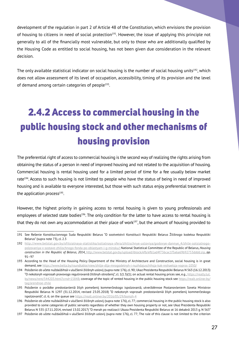development of the regulation in part 2 of Article 48 of the Constitution, which envisions the provision of housing to citizens in need of social protection<sup>191</sup>. However, the issue of applying this principle not generally to all of the financially most vulnerable, but only to those who are additionally qualified by the Housing Code as entitled to social housing, has not been given due consideration in the relevant decision.

The only available statistical indicator on social housing is the number of social housing units<sup>192</sup>, which does not allow assessment of its level of occupation, accessibility, timing of its provision and the level of demand among certain categories of people<sup>193</sup>.

# 2.4.2 Access to commercial housing in the public housing stock and other mechanisms of housing provision

The preferential right of access to commercial housing is the second way of realizing the rights arising from obtaining the status of a person in need of improved housing and not related to the acquisition of housing. Commercial housing is rental housing used for a limited period of time for a fee usually below market rate<sup>194</sup>. Access to such housing is not limited to people who have the status of being in need of improved housing and is available to everyone interested, but those with such status enjoy preferential treatment in the application process $195$ .

However, the highest priority in gaining access to rental housing is given to young professionals and employees of selected state bodies<sup>196</sup>. The only condition for the latter to have access to rental housing is that they do not own any accommodation at their place of work<sup>197</sup>, but the amount of housing provided to

<sup>191</sup> See Rešenie Konstitucionnogo Suda Respubliki Belarus "O sootvetstvii Konstitucii Respubliki Belarus Žiliŝnogo kodeksa Respubliki Belarus" (supra note 73), cl. 2.3

<sup>192</sup> http://www.belstat.gov.by/ofitsialnaya-statistika/solialnaya-sfera/zhilischnye-usloviya/godovye-dannye\_4/zhile-sotsialnogopolzovaniya-v-sostave-zhilischnogo-fonda-po-oblastyam-i-g-minsku/; National Statistical Committee of the Republic of Belarus, *Housing construction in the Republic of Belarus, 2014*, http://www.belstat.gov.by/upload/iblock/efb/efb1ad4f736cac1f3a6a69b92753dddd.zip, pp. 91–97

<sup>193</sup> According to the Head of the Housing Policy Department of the Ministry of Architecture and Construction, social housing is in great demand, see https://www.belta.by/roundtable/view/zhilje-dlja-mnogodetnyh-i-nuzhdajuschihsja-kak-reshaetsja-vopros-1050/

<sup>194</sup> Položenie ob učete nuždaûŝihsâ v ulučšenii žiliŝnyh uslovij (supra note 176), cl. 90; Ukaz Prezidenta Respubliki Belarus N 563 (16.12.2013) "O nekotoryh voprosah pravovogo regulirovaniâ žiliŝnyh otnošenij", cl. 1(1.5)(1); on actual rental housing prices see, e.g., https://realty.tut. by/news/rent/544203.html?crnd=15848; coverage of the topic of rented housing in the public housing stock see https://realt.onliner.by/ tag/arendnoe-zhile

<sup>195</sup> Položenie o porâdke predostavleniâ žilyh pomeŝenij kommerčeskogo ispolzovaniâ, utverždënnoe Postanovleniem Soveta Ministrov Respubliki Belarus N 1297 (31.12.2014, revised 23.05.2018) "O nekotoryh voprosah predostavleniâ žilyh pomeŝenij kommerčeskogo ispolzovaniâ", cl. 6; on the queue see https://realt.onliner.by/2016/05/29/bomzh-4

<sup>196</sup> Položenie ob učete nuždaûŝihsâ v ulučšenii žiliŝnyh uslovij (supra note 176), cl. 77; commercial housing in the public housing stock is also provided to some categories of public servants regardless of whether they own housing property or not, see Ukaz Prezidenta Respubliki Belarus N 535 (17.11.2014, revised 13.02.2017) "O merah po realizacii Ukaza Prezidenta Respubliki Belarus ot 16 dekabrâ 2013 g. N 563"

<sup>197</sup> Položenie ob učete nuždaûŝihsâ v ulučšenii žiliŝnyh uslovij (supra note 176), cl. 77; The rule of this clause is not limited to the criterion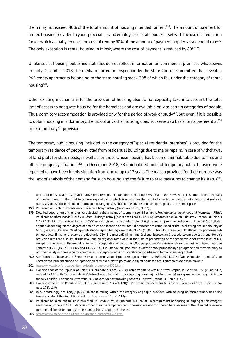them may not exceed 40% of the total amount of housing intended for rent<sup>198</sup>. The amount of payment for rented housing provided to young specialists and employees of state bodies is set with the use of a reduction factor, which actually reduces the cost of rent by 90% of the amount of payment applied as a general rule<sup>199</sup>. The only exception is rental housing in Minsk, where the cost of payment is reduced by 80%<sup>200</sup>.

Unlike social housing, published statistics do not reflect information on commercial premises whatsoever. In early December 2018, the media reported an inspection by the State Control Committee that revealed 965 empty apartments belonging to the state housing stock, 308 of which fell under the category of rental housing<sup>201</sup>.

Other existing mechanisms for the provision of housing also do not explicitly take into account the total lack of access to adequate housing for the homeless and are available only to certain categories of people. Thus, dormitory accommodation is provided only for the period of work or study<sup>202</sup>, but even if it is possible to obtain housing in a dormitory, the lack of any other housing does not serve as a basis for its preferential<sup>203</sup> or extraordinary<sup>204</sup> provision.

The temporary public housing included in the category of "special residential premises" is provided for the temporary residence of people evicted from residential buildings due to major repairs, in case of withdrawal of land plots for state needs, as well as for those whose housing has become uninhabitable due to fires and other emergency situations<sup>205</sup>. In December 2018, 28 uninhabited units of temporary public housing were reported to have been in this situation from one to up to 12 years.The reason provided for their non-use was the lack of analysis of the demand for such housing and the failure to take measures to change its status<sup>206</sup>.

201 https://www.sb.by/articles/zhile-ne-dolzhno-pustovat4323.html

of lack of housing and, as an alternative requirement, includes the right to possession and use. However, it is submitted that the lack of housing based on the right to possessing and using, which is most often the result of a rental contract, is not a factor that makes it necessary to establish the need to provide housing because it is not available and cannot be paid at the market price.

<sup>198</sup> Položenie ob učete nuždaûŝihsâ v ulučšenii žiliŝnyh uslovij (supra note 176), cl. 77(3)

<sup>199</sup> Detailed description of the rules for calculating the amount of payment see N. Kuharčik, *Predostavlenie arendnogo žilâ* (KonsultantPlius); Položenie ob učete nuždaûŝihsâ v ulučšenii žiliŝnyh uslovij (supra note 176), cl. 1.5-1.6; Postanovlenie Soveta Ministrov Respubliki Belarus N 1297 (31.12.2014,revised 23.05.2018)"O nekotoryh voprosah predostavleniâ žilyh pomeŝenij kommerčeskogo ispolzovaniâ", cl. 2; Rates applied depending on the degree of amenities and location of residential premises are established at the level of regions and the city of Minsk, see, e.g., Rešenie Minskogo oblastnogo ispolnitelnogo komiteta N 736 (19.07.2016) "Ob ustanovlenii koèfficientov, primenâemyh pri opredelenii razmera platy za polzovanie žilymi pomeŝeniâmi kommerčeskogo ispolzovaniâ gosudarstvennogo žiliŝnogo fonda"; reduction rates are also set at this level and all regional rates valid at the time of preparation of the report were set at the level of 0.1, except for the cities of the Gomel region with a population of less than 5,000 people, see Rešenie Gomelskogo oblastnogo ispolnitelnogo komiteta N 221 (19.03.2014, revised 11.07.2016) "Ob ustanovlenii ponižaûŝih koèfficientov, primenâemyh pri opredelenii razmera platy za polzovanie žilymi pomeŝeniâmi kommerčeskogo ispolzovaniâ gosudarstvennogo žiliŝnogo fonda Gomelskoj oblasti"

<sup>200</sup> See footnote above and Rešenie Minskogo gorodskogo ispolnitelnogo komiteta N 1099(25.04.2014) "Ob ustanovlenii ponižaûŝego koèfficienta, primenâemogo pri opredelenii razmera platy za polzovanie žilymi pomeŝeniâmi kommerčeskogo ispolzovaniâ"

<sup>202</sup> Housing code of the Republic of Belarus (supra note 74), art. 120(1); Postanovlenie Soveta Ministrov Respubliki Belarus N 269 (05.04.2013, revised 27.11.2018) "Ob utverždenii Položeniâ ob obŝežitiâh i tipovogo dogovora najma žilogo pomeŝeniâ gosudarstvennogo žiliŝnogo fonda v obŝežitii i priznanii utrativšimi silu nekotoryh postanovlenij Soveta Ministrov Respubliki Belarus", cl. 2

<sup>203</sup> Housing code of the Republic of Belarus (supra note 74), art. 120(3); Položenie ob učete nuždaûŝihsâ v ulučšenii žiliŝnyh uslovij (supra note 176), cl. 96

<sup>204</sup> Ibid., accordingly, art. 120(2); p. 95. On those falling within the category of people provided with housing on extraordinary basis see Housing code of the Republic of Belarus (supra note 74), art. 112(4)

<sup>205</sup> Položenie ob učete nuždaûŝihsâ v ulučšenii žiliŝnyh uslovij (supra note 176), cl. 103; a complete list of housing belonging to this category see Housing code, art. 121. Categories other than the temporary public housing are not considered here because of their limited relevance to the provision of temporary or permanent housing to the homeless.

<sup>206</sup> https://www.sb.by/articles/zhile-ne-dolzhno-pustovat4323.html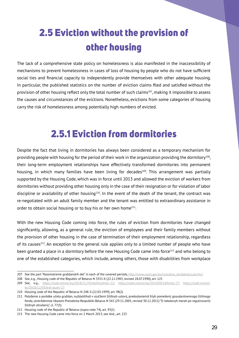# 2.5 Eviction without the provision of other housing

The lack of a comprehensive state policy on homelessness is also manifested in the inaccessibility of mechanisms to prevent homelessness in cases of loss of housing by people who do not have sufficient social ties and financial capacity to independently provide themselves with other adequate housing. In particular, the published statistics on the number of eviction claims filed and satisfied without the provision of other housing reflect only the total number of such claims<sup>207</sup>, making it impossible to assess the causes and circumstances of the evictions. Nonetheless, evictions from some categories of housing carry the risk of homelessness among potentially high numbers of evicted.

#### 2.5.1 Eviction from dormitories

Despite the fact that living in dormitories has always been considered as a temporary mechanism for providing people with housing for the period of their work in the organization providing the dormitory<sup>208</sup>. their long-term employment relationships have effectively transformed dormitories into permanent housing, in which many families have been living for decades<sup>209</sup>. This arrangement was partially supported by the Housing Code, which was in force until 2013 and allowed the eviction of workers from dormitories without providing other housing only in the case of their resignation or for violation of labor discipline or availability of other housing $210$ . In the event of the death of the tenant, the contract was re-negotiated with an adult family member and the tenant was entitled to extraordinary assistance in order to obtain social housing or to buy his or her own home $^{211}$ .

With the new Housing Code coming into force, the rules of eviction from dormitories have changed significantly, allowing, as a general rule, the eviction of employees and their family members without the provision of other housing in the case of termination of their employment relationship, regardless of its causes212. An exception to the general rule applies only to a limited number of people who have been granted a place in a dormitory before the new Housing Code came into force<sup>213</sup> and who belong to one of the established categories, which include, among others, those with disabilities from workplace

<sup>207</sup> See the part "Rassmotrenie graždanskih del" in each of the covered periods, http://www.court.gov.by/ru/justice\_rb/statistics/archiv/

<sup>208</sup> See, e.g., Housing code of the Republic of Belarus N 3351-X (22.12.1983, revised 28.07.1990), art. 125

<sup>209</sup> See, e.g., https://realt.onliner.by/2018/11/29/obshhezhitie-22; https://realt.onliner.by/2014/04/18/brest-27; https://realt.onliner. by/2018/12/03/krik-dushi-27

<sup>210</sup> Housing code of the Republic of Belarus N 248-3 (22.03.1999), art. 98(2)

<sup>211</sup> Položenie o porâdke učeta graždan, nuždaûŝihsâ v ulučšenii žiliŝnyh uslovij, predostavleniâ žilyh pomeŝenij gosudarstvennogo žiliŝnogo fonda, utverždennoe Ukazom Prezidenta Respubliki Belarus N 565 (29.11.2005,revised 30.12.2011) "O nekotoryh merah po regulirovaniû žiliŝnyh otnošenij", cl. 77(3)

<sup>212</sup> Housing code of the Republic of Belarus (supra note 74), art. 93(1)

<sup>213</sup> The new Housing Code came into force on 2 March 2013, see ibid., art. 225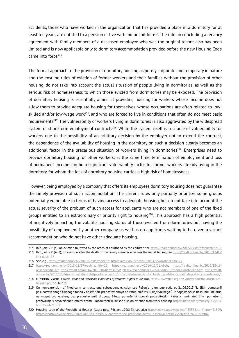accidents, those who have worked in the organization that has provided a place in a dormitory for at least ten years, are entitled to a pension or live with minor children<sup>214</sup>. The rule on concluding a tenancy agreement with family members of a deceased employee who was the original tenant also has been limited and is now applicable only to dormitory accommodation provided before the new Housing Code came into force $215$ .

The formal approach to the provision of dormitory housing as purely corporate and temporary in nature and the ensuing rules of eviction of former workers and their families without the provision of other housing, do not take into account the actual situation of people living in dormitories, as well as the serious risk of homelessness to which those evicted from dormitories may be exposed. The provision of dormitory housing is essentially aimed at providing housing for workers whose income does not allow them to provide adequate housing for themselves, whose occupations are often related to lowskilled and/or low-wage work<sup>216</sup>, and who are forced to live in conditions that often do not meet basic requirements<sup>217</sup>. The vulnerability of workers living in dormitories is also aggravated by the widespread system of short-term employment contracts<sup>218</sup>. While the system itself is a source of vulnerability for workers due to the possibility of an arbitrary decision by the employer not to extend the contract, the dependence of the availability of housing in the dormitory on such a decision clearly becomes an additional factor in the precarious situation of workers living in dormitories<sup>219</sup>. Enterprises need to provide dormitory housing for other workers; at the same time, termination of employment and loss of permanent income can be a significant vulnerability factor for former workers already living in the dormitory, for whom the loss of dormitory housing carries a high risk of homelessness.

However, being employed by a company that offers its employees dormitory housing does not guarantee the timely provision of such accommodation. The current rules only partially prioritize some groups potentially vulnerable in terms of having access to adequate housing, but do not take into account the actual severity of the problem of such access for applicants who are not members of one of the fixed groups entitled to an extraordinary or priority right to housing<sup>220</sup>. This approach has a high potential of negatively impacting the volatile housing status of those evicted from dormitories but having the possibility of employment by another company, as well as on applicants waiting to be given a vacant accommodation who do not have other adequate housing.

216 See, e.g., https://realt.onliner.by/2015/02/04/registr-3; https://realt.onliner.by/2018/11/29/obshhezhitie-22

<sup>214</sup> Ibid., art. 221(4); on eviction followed by the reach of adulthood by the children see https://realt.onliner.by/2017/03/04/obshhezhitie-12

<sup>215</sup> Ibid., art. 221(4)(2); on eviction after the death of the family member who was the initial tenant, see https://realt.onliner.by/2018/12/03/ krik-dushi-27

<sup>217</sup> https://realt.onliner.by/2018/11/29/obshhezhitie-22; https://realt.onliner.by/2016/12/01/obsh; https://realt.onliner.by/2015/12/16/ obshhezhitie-10; https://realt.onliner.by/2015/10/05/raspred; https://realt.onliner.by/2015/08/25/iznanka-obshhezhitiya; https://realt. onliner.by/2015/03/24/obshhezhitie-8; https://belsat.eu/ru/in-focus/belorusskie-obshhezhitiya-zhit-v-razvalinah-platit-kak-za-dvorets/

<sup>218</sup> FIDH/HRC Viasna, *Forced Labor and Pervasive Violations of Workers' Rights in Belarus*, https://www.fidh.org/IMG/pdf/rapportbelarusuk623 bassdef.pdf, pp. 16-19

<sup>219</sup> On non-extension of fixed-term contracts and subsequent eviction see Rešenie rajonnogo suda ot 21.06.2013 "Iz žilyh pomeŝenij gosudarstvennogo žiliŝnogo fonda v obŝežitiâh, predostavlennyh do vstupleniâ v silu dejstvuûŝego Žiliŝnogo kodeksa Respubliki Belarus, ne mogut byt vyseleny bez predostavleniâ drugogo žilogo pomeŝeniâ tipovyh potrebitelskih kačestv, nanimateli žilyh pomeŝenij, proživaûŝie s nesoveršennoletnimi detmi" (KonsultantPlius); see also on eviction from work housing, https://news.tut.by/society/455388. html?crnd=31399

<sup>220</sup> Housing code of the Republic of Belarus (supra note 74), art. 120(2-3); see also https://news.tut.by/society/455388.html?crnd=31399; https://sputnik.by/society/20180410/1034743991/v-dogovore-vse-propisano-semyu-s-tremya-detmi-vyselyayut-na-ulicu.html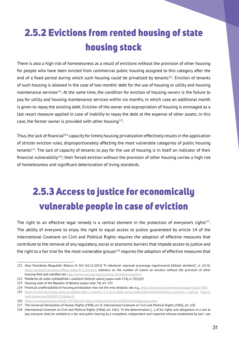# 2.5.2 Evictions from rented housing of state housing stock

There is also a high risk of homelessness as a result of evictions without the provision of other housing for people who have been evicted from commercial public housing assigned to this category after the end of a fixed period during which such housing could be privatized by tenants<sup>221</sup>. Eviction of tenants of such housing is allowed in the case of two months' debt for the use of housing or utility and housing maintenance services222. At the same time, the condition for eviction of housing *owners* is the failure to pay for utility and housing maintenance services within six months, in which case an additional month is given to repay the existing debt. Eviction of the owner and expropriation of housing is envisaged as a last resort measure applied in case of inability to repay the debt at the expense of other assets; in this case, the former owner is provided with other housing<sup>223</sup>.

Thus,the lack of financial224 capacity for timely housing privatization effectively results in the application of stricter eviction rules, disproportionately affecting the most vulnerable categories of public housing tenants225. The lack of capacity of tenants to pay for the use of housing is in itself an indicator of their financial vulnerability<sup>226</sup>; their forced eviction without the provision of other housing carries a high risk of homelessness and significant deterioration of living standards.

# 2.5.3 Access to justice for economically vulnerable people in case of eviction

The right to an effective legal remedy is a central element in the protection of everyone's rights<sup>227</sup>. The ability of everyone to enjoy the right to equal access to justice guaranteed by article 14 of the International Covenant on Civil and Political Rights requires the adoption of effective measures that contribute to the removal of any regulatory, social or economic barriers that impede access to justice and the right to a fair trial for the most vulnerable groups<sup>228</sup> requires the adoption of effective measures that

<sup>221</sup> Ukaz Prezidenta Respubliki Belarus N 563 (16.12.2013) "O nekotoryh voprosah pravovogo regulirovaniâ žiliŝnyh otnošenij", cl. 2(2.4); https://realty.tut.by/news/offtop-realty/472110.html; statistics on the number of claims on eviction without the provision of other housing filed and satisfied see http://www.court.gov.by/ru/justice\_rb/statistics/archiv/

<sup>222</sup> Položenie ob učete nuždaûŝihsâ v ulučšenii žiliŝnyh uslovij (supra note 176), cl. 92(1)(3)

<sup>223</sup> Housing code of the Republic of Belarus (supra note 74), art. 155

<sup>224</sup> Financial unaffordability of housing privatization was not the only obstacle, see, e.g., http://www.zarya.by/event/message/view/17968

<sup>225</sup> https://minsknews.by/za-dolg-po-oplate-zhku-v-razmere-5-5-tyis-rubley-semya-poteryala-dvuhkomnatnuyu-kvartiru-u-metro/; https:// realt.onliner.by/2018/05/10/dolg-41

<sup>226</sup> https://www.kp.by/daily/26681.5/3704618/; https://realt.onliner.by/2018/03/01/dolgovaya-yama

<sup>227</sup> The Universal Declaration of Human Rights (1948), art. 8; International Covenant on Civil and Political Rights (1966), art. 2(3)

<sup>228</sup> International Covenant on Civil and Political Rights (1966), art. 14(1): "In the determination […] of his rights and obligations in a suit at law, everyone shall be entitled to a fair and public hearing by a competent, independent and impartial tribunal established by law"; see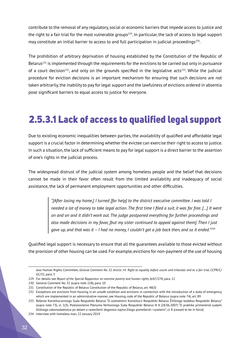contribute to the removal of any regulatory, social or economic barriers that impede access to justice and the right to a fair trial for the most vulnerable groups<sup>229</sup>. In particular, the lack of access to legal support may constitute an initial barrier to access to and full participation in judicial proceedings<sup>230</sup>.

The prohibition of arbitrary deprivation of housing established by the Constitution of the Republic of Belarus<sup>231</sup> is implemented through the requirements for the evictions to be carried out only in pursuance of a court decision<sup>232</sup>, and only on the grounds specified in the legislative acts<sup>233</sup>. While the judicial procedure for eviction decisions is an important mechanism for ensuring that such decisions are not taken arbitrarily, the inability to pay for legal support and the lawfulness of evictions ordered in absentia pose significant barriers to equal access to justice for everyone.

### 2.5.3.1 Lack of access to qualified legal support

Due to existing economic inequalities between parties, the availability of qualified and affordable legal support is a crucial factor in determining whether the evictee can exercise their right to access to justice. In such a situation,the lack of sufficient means to pay for legal support is a direct barrier to the assertion of one's rights in the judicial process.

The widespread distrust of the judicial system among homeless people and the belief that decisions cannot be made in their favor often result from the limited availability and inadequacy of social assistance, the lack of permanent employment opportunities and other difficulties.

> *"[After losing my home,] I turned [for help] to the district executive committee. I was told I needed a lot of money to take legal action. The first time I filed a suit, it was for free. […] It went on and on and it didn't work out. The judge postponed everything for further proceedings and also made decisions in my favor, [but my sister continued to appeal against them]. Then I just gave up, and that was it – I had no money, I couldn't get a job back then, and so it ended."234*

Qualified legal support is necessary to ensure that all the guarantees available to those evicted without the provision of other housing can be used.For example,evictions for non-payment of the use of housing

also Human Rights Committee, *General Comment No. 32. Article 14: Right to equality before courts and tribunals and to a fair trial*, CCPR/C/ GC/32, para. 3

<sup>229</sup> For details see *Report of the Special Rapporteur on extreme poverty and human rights*, A/67/278, para. 12

<sup>230</sup> General Comment No. 32 (supra note 228), para. 10

<sup>231</sup> Constitution of the Republic of Belarus Constitution of the Republic of Belarus, art. 48(3)

<sup>232</sup> Exceptions are evictions from housing in an unsafe condition and evictions in connection with the introduction of a state of emergency, which are implemented in an administrative manner, see Housing code of the Republic of Belarus (supra note 74), art. 89

<sup>233</sup> Rešenie Konstitucionnogo Suda Respubliki Belarus "O sootvetstvii Konstitucii Respubliki Belarus Žiliŝnogo kodeksa Respubliki Belarus" (supra note 73), cl. 1(3); Postanovlenie Plenuma Verhovnogo Suda Respubliki Belarus N 8 (28.06.2007) "O praktike primeneniâ sudami žiliŝnogo zakonodatelstva po delam o rastorženii dogovora najma žilogo pomeŝeniâ i vyselenii", cl. 8 (ceased to be in force)

<sup>234</sup> Interview with homeless man, 22 January 2019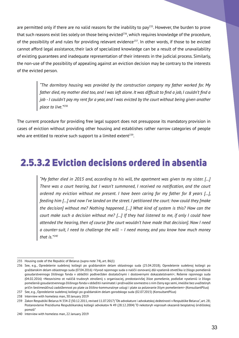are permitted only if there are no valid reasons for the inability to pay<sup>235</sup>. However, the burden to prove that such reasons exist lies solely on those being evicted<sup>236</sup>, which requires knowledge of the procedure, of the possibility of and rules for providing relevant evidence<sup>237</sup>. In other words, if those to be evicted cannot afford legal assistance, their lack of specialized knowledge can be a result of the unavailability of existing guarantees and inadequate representation of their interests in the judicial process. Similarly, the non-use of the possibility of appealing against an eviction decision may be contrary to the interests of the evicted person.

> *"The dormitory housing was provided by the construction company my father worked for. My*  father died, my mother died too, and I was left alone. It was difficult to find a job, I couldn't find a *job - I couldn't pay my rent for a year, and I was evicted by the court without being given another place to live."*<sup>238</sup>

The current procedure for providing free legal support does not presuppose its mandatory provision in cases of eviction without providing other housing and establishes rather narrow categories of people who are entitled to receive such support to a limited extent<sup>239</sup>.

#### 2.5.3.2 Eviction decisions ordered in absentia

*"My father died in 2015 and, according to his will, the apartment was given to my sister. […] There was a court hearing, but I wasn't summoned, I received no notification, and the court ordered my eviction without me present. I have been caring for my father for 8 years […], feeding him […] and now I've landed on the street. I petitioned the court: how could they [make the decision] without me? Nothing happened. […] What kind of system is this? How can the court make such a decision without me? […] If they had listened to me, if only I could have attended the hearing, then of course [the court wouldn't have made that decision]. Now I need a counter-suit, I need to challenge the will – I need money, and you know how much money that is."240*

<sup>235</sup> Housing code of the Republic of Belarus (supra note 74), art. 86(1)

<sup>236</sup> See, e.g., Opredelenie sudebnoj kollegii po graždanskim delam oblastnogo suda (25.04.2018); Opredelenie sudebnoj kollegii po graždanskim delam oblastnogo suda (07.04.2016) <Vyvod rajonnogo suda o naličii osnovanij dlâ vyseleniâ otvetčika iz žilogo pomeŝeniâ gosudarstvennogo žiliŝnogo fonda v obŝežitii podtveržden dostatočnymi i dostovernymi dokazatelstvami>; Rešenie rajonnogo suda (04.02.2016) <Nezavisimo ot naličiâ trudovyh otnošenij s organizaciej, predostavivšej žiloe pomeŝenie, podležat vyseleniû iz žilogo pomeŝeniâ gosudarstvennogo žiliŝnogo fonda v obŝežitii nanimatel i proživaûŝie sovmestno s nim členy ego semi,imeûŝie bez uvažitelnyh pričin šestimesâčnuû zadolžennost po plate za žiliŝno-kommunalnye uslugi i plate za polzovanie žilym pomeŝeniem> (KonsultantPlius)

<sup>237</sup> See, e.g., Opredelenie sudebnoj kollegii po graždanskim delam gorodskogo suda (02.07.2015) (KonsultantPlius)

<sup>238</sup> Interview with homeless man, 30 January 2019

<sup>239</sup> Zakon Respubliki Belarus N 334-Z (30.12.2011,revised 11.07.2017)"Ob advokature i advokatskoj deâtelnosti v Respublike Belarus", art. 28; Postanovlenie Prezidiuma Respublikanskoj kollegii advokatov N 49 (28.12.2004) "O nekotoryh voprosah okazaniâ besplatnoj ûridičeskoj pomoŝi"

<sup>240</sup> Interview with homeless man, 22 January 2019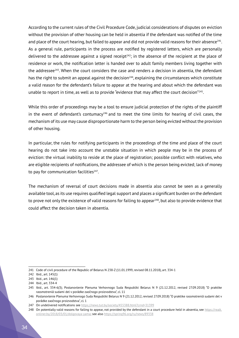According to the current rules of the Civil Procedure Code, judicial considerations of disputes on eviction without the provision of other housing can be held in absentia if the defendant was notified of the time and place of the court hearing, but failed to appear and did not provide valid reasons for their absence<sup>241</sup>. As a general rule, participants in the process are notified by registered letters, which are personally delivered to the addressee against a signed receipt<sup>242</sup>; in the absence of the recipient at the place of residence or work, the notification letter is handed over to adult family members living together with the addressee $243$ . When the court considers the case and renders a decision in absentia, the defendant has the right to submit an appeal against the decision<sup>244</sup>, explaining the circumstances which constitute a valid reason for the defendant's failure to appear at the hearing and about which the defendant was unable to report in time, as well as to provide "evidence that may affect the court decision"<sup>245</sup>.

While this order of proceedings may be a tool to ensure judicial protection of the rights of the plaintiff in the event of defendant's contumacy<sup>246</sup> and to meet the time limits for hearing of civil cases, the mechanism of its use may cause disproportionate harm to the person being evicted without the provision of other housing.

In particular, the rules for notifying participants in the proceedings of the time and place of the court hearing do not take into account the unstable situation in which people may be in the process of eviction: the virtual inability to reside at the place of registration; possible conflict with relatives, who are eligible recipients of notifications, the addressee of which is the person being evicted; lack of money to pay for communication facilities<sup>247</sup>.

The mechanism of reversal of court decisions made in absentia also cannot be seen as a generally available tool,as its use requires qualified legal support and places a significant burden on the defendant to prove not only the existence of valid reasons for failing to appear<sup>248</sup>, but also to provide evidence that could affect the decision taken in absentia.

<sup>241</sup> Code of civil procedure of the Republic of Belarus N 238-Z (11.01.1999, revised 08.11.2018), art. 334-1

<sup>242</sup> Ibid., art. 145(1)

<sup>243</sup> Ibid., art. 146(1)

<sup>244</sup> Ibid., art. 334-4

<sup>245</sup> Ibid., art. 334-6(3); Postanovlenie Plenuma Verhovnogo Suda Respubliki Belarus N 9 (21.12.2012, revised 27.09.2018) "O praktike rassmotreniâ sudami del v porâdke zaočnogo proizvodstva", cl. 11

<sup>246</sup> Postanovlenie Plenuma Verhovnogo Suda Respubliki Belarus N 9 (21.12.2012, revised 27.09.2018) "O praktike rassmotreniâ sudami del v porâdke zaočnogo proizvodstva", cl. 1

<sup>247</sup> On undelivered notifications see https://news.tut.by/society/455388.html?crnd=31399

<sup>248</sup> On potentially valid reasons for failing to appear, not provided by the defendant in a court procedure held in absentia, see https://realt. onliner.by/2018/03/01/dolgovaya-yama; see also https://spring96.org/ru/news/89338